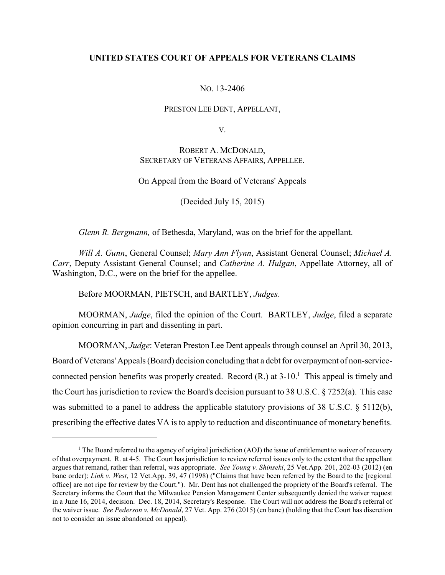# **UNITED STATES COURT OF APPEALS FOR VETERANS CLAIMS**

# NO. 13-2406

# PRESTON LEE DENT, APPELLANT,

V.

# ROBERT A. MCDONALD, SECRETARY OF VETERANS AFFAIRS, APPELLEE.

### On Appeal from the Board of Veterans' Appeals

(Decided July 15, 2015)

*Glenn R. Bergmann,* of Bethesda, Maryland, was on the brief for the appellant.

*Will A. Gunn*, General Counsel; *Mary Ann Flynn*, Assistant General Counsel; *Michael A. Carr*, Deputy Assistant General Counsel; and *Catherine A. Hulgan*, Appellate Attorney, all of Washington, D.C., were on the brief for the appellee.

Before MOORMAN, PIETSCH, and BARTLEY, *Judges*.

MOORMAN, *Judge*, filed the opinion of the Court. BARTLEY, *Judge*, filed a separate opinion concurring in part and dissenting in part.

MOORMAN, *Judge*: Veteran Preston Lee Dent appeals through counsel an April 30, 2013, Board of Veterans' Appeals (Board) decision concluding that a debt for overpayment of non-serviceconnected pension benefits was properly created. Record  $(R)$  at  $3-10<sup>1</sup>$ . This appeal is timely and the Court has jurisdiction to review the Board's decision pursuant to 38 U.S.C. § 7252(a). This case was submitted to a panel to address the applicable statutory provisions of 38 U.S.C. § 5112(b), prescribing the effective dates VA is to apply to reduction and discontinuance of monetary benefits.

<sup>&</sup>lt;sup>1</sup> The Board referred to the agency of original jurisdiction (AOJ) the issue of entitlement to waiver of recovery of that overpayment. R. at 4-5. The Court has jurisdiction to review referred issues only to the extent that the appellant argues that remand, rather than referral, was appropriate. *See Young v. Shinseki*, 25 Vet.App. 201, 202-03 (2012) (en banc order); *Link v. West*, 12 Vet.App. 39, 47 (1998) ("Claims that have been referred by the Board to the [regional office] are not ripe for review by the Court."). Mr. Dent has not challenged the propriety of the Board's referral. The Secretary informs the Court that the Milwaukee Pension Management Center subsequently denied the waiver request in a June 16, 2014, decision. Dec. 18, 2014, Secretary's Response. The Court will not address the Board's referral of the waiver issue. *See Pederson v. McDonald*, 27 Vet. App. 276 (2015) (en banc) (holding that the Court has discretion not to consider an issue abandoned on appeal).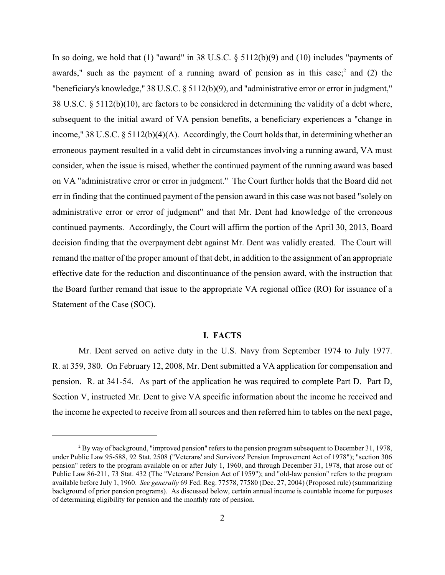In so doing, we hold that  $(1)$  "award" in 38 U.S.C. § 5112(b)(9) and  $(10)$  includes "payments of awards," such as the payment of a running award of pension as in this case; and (2) the "beneficiary's knowledge," 38 U.S.C. § 5112(b)(9), and "administrative error or error in judgment," 38 U.S.C. § 5112(b)(10), are factors to be considered in determining the validity of a debt where, subsequent to the initial award of VA pension benefits, a beneficiary experiences a "change in income," 38 U.S.C. § 5112(b)(4)(A). Accordingly, the Court holds that, in determining whether an erroneous payment resulted in a valid debt in circumstances involving a running award, VA must consider, when the issue is raised, whether the continued payment of the running award was based on VA "administrative error or error in judgment." The Court further holds that the Board did not err in finding that the continued payment of the pension award in this case was not based "solely on administrative error or error of judgment" and that Mr. Dent had knowledge of the erroneous continued payments. Accordingly, the Court will affirm the portion of the April 30, 2013, Board decision finding that the overpayment debt against Mr. Dent was validly created. The Court will remand the matter of the proper amount of that debt, in addition to the assignment of an appropriate effective date for the reduction and discontinuance of the pension award, with the instruction that the Board further remand that issue to the appropriate VA regional office (RO) for issuance of a Statement of the Case (SOC).

# **I. FACTS**

Mr. Dent served on active duty in the U.S. Navy from September 1974 to July 1977. R. at 359, 380. On February 12, 2008, Mr. Dent submitted a VA application for compensation and pension. R. at 341-54. As part of the application he was required to complete Part D. Part D, Section V, instructed Mr. Dent to give VA specific information about the income he received and the income he expected to receive from all sources and then referred him to tables on the next page,

 $B<sup>2</sup>$  By way of background, "improved pension" refers to the pension program subsequent to December 31, 1978, under Public Law 95-588, 92 Stat. 2508 ("Veterans' and Survivors' Pension Improvement Act of 1978"); "section 306 pension" refers to the program available on or after July 1, 1960, and through December 31, 1978, that arose out of Public Law 86-211, 73 Stat. 432 (The "Veterans' Pension Act of 1959"); and "old-law pension" refers to the program available before July 1, 1960. *See generally* 69 Fed. Reg. 77578, 77580 (Dec. 27, 2004) (Proposed rule) (summarizing background of prior pension programs). As discussed below, certain annual income is countable income for purposes of determining eligibility for pension and the monthly rate of pension.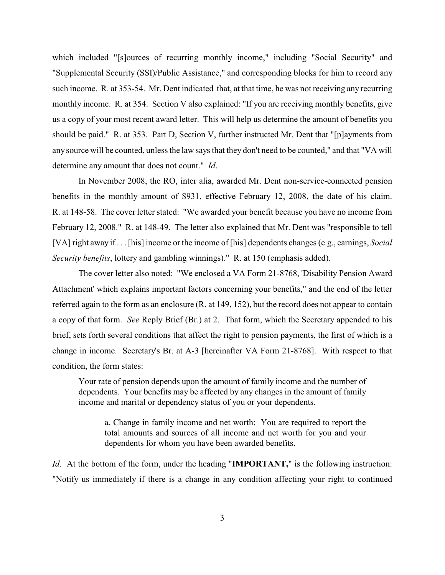which included "[s]ources of recurring monthly income," including "Social Security" and "Supplemental Security (SSI)/Public Assistance," and corresponding blocks for him to record any such income. R. at 353-54. Mr. Dent indicated that, at that time, he was not receiving any recurring monthly income. R. at 354. Section V also explained: "If you are receiving monthly benefits, give us a copy of your most recent award letter. This will help us determine the amount of benefits you should be paid." R. at 353. Part D, Section V, further instructed Mr. Dent that "[p]ayments from any source will be counted, unless the law says that they don't need to be counted," and that "VA will determine any amount that does not count." *Id*.

In November 2008, the RO, inter alia, awarded Mr. Dent non-service-connected pension benefits in the monthly amount of \$931, effective February 12, 2008, the date of his claim. R. at 148-58. The cover letter stated: "We awarded your benefit because you have no income from February 12, 2008." R. at 148-49. The letter also explained that Mr. Dent was "responsible to tell [VA] right away if . . . [his] income or the income of [his] dependents changes (e.g., earnings, *Social Security benefits*, lottery and gambling winnings)." R. at 150 (emphasis added).

The cover letter also noted: "We enclosed a VA Form 21-8768, 'Disability Pension Award Attachment' which explains important factors concerning your benefits," and the end of the letter referred again to the form as an enclosure (R. at 149, 152), but the record does not appear to contain a copy of that form. *See* Reply Brief (Br.) at 2. That form, which the Secretary appended to his brief, sets forth several conditions that affect the right to pension payments, the first of which is a change in income. Secretary's Br. at A-3 [hereinafter VA Form 21-8768]. With respect to that condition, the form states:

Your rate of pension depends upon the amount of family income and the number of dependents. Your benefits may be affected by any changes in the amount of family income and marital or dependency status of you or your dependents.

a. Change in family income and net worth: You are required to report the total amounts and sources of all income and net worth for you and your dependents for whom you have been awarded benefits.

*Id*. At the bottom of the form, under the heading "**IMPORTANT,**" is the following instruction: "Notify us immediately if there is a change in any condition affecting your right to continued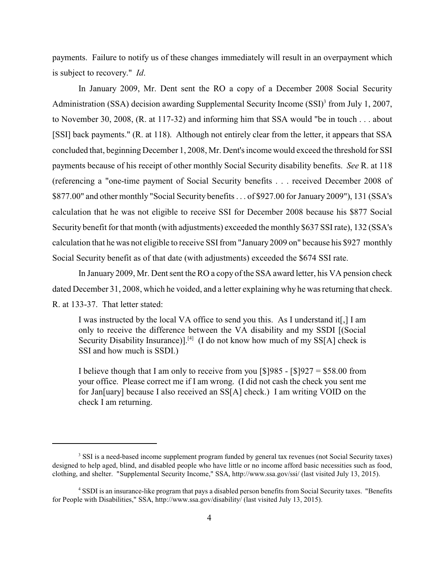payments. Failure to notify us of these changes immediately will result in an overpayment which is subject to recovery." *Id*.

In January 2009, Mr. Dent sent the RO a copy of a December 2008 Social Security Administration (SSA) decision awarding Supplemental Security Income  $(SSI)^3$  from July 1, 2007, to November 30, 2008, (R. at 117-32) and informing him that SSA would "be in touch . . . about [SSI] back payments." (R. at 118). Although not entirely clear from the letter, it appears that SSA concluded that, beginning December 1, 2008, Mr. Dent's income would exceed the threshold for SSI payments because of his receipt of other monthly Social Security disability benefits. *See* R. at 118 (referencing a "one-time payment of Social Security benefits . . . received December 2008 of \$877.00" and other monthly "Social Security benefits . . . of \$927.00 for January 2009"), 131 (SSA's calculation that he was not eligible to receive SSI for December 2008 because his \$877 Social Security benefit for that month (with adjustments) exceeded the monthly \$637 SSIrate), 132 (SSA's calculation that he was not eligible to receive SSIfrom "January 2009 on" because his \$927 monthly Social Security benefit as of that date (with adjustments) exceeded the \$674 SSI rate.

In January 2009, Mr. Dent sent the RO a copy of the SSA award letter, his VA pension check dated December 31, 2008, which he voided, and a letter explaining why he was returning that check. R. at 133-37. That letter stated:

I was instructed by the local VA office to send you this. As I understand it[,] I am only to receive the difference between the VA disability and my SSDI [(Social Security Disability Insurance)].<sup>[4]</sup> (I do not know how much of my SS[A] check is SSI and how much is SSDI.)

I believe though that I am only to receive from you  $\lceil \frac{1}{9} \rceil 985 - \lceil \frac{1}{9} \rceil 927 = \frac{1}{9}58.00$  from your office. Please correct me if I am wrong. (I did not cash the check you sent me for Jan[uary] because I also received an SS[A] check.) I am writing VOID on the check I am returning.

<sup>&</sup>lt;sup>3</sup> SSI is a need-based income supplement program funded by general tax revenues (not Social Security taxes) designed to help aged, blind, and disabled people who have little or no income afford basic necessities such as food, clothing, and shelter. "Supplemental Security Income," SSA, http://www.ssa.gov/ssi/ (last visited July 13, 2015).

<sup>&</sup>lt;sup>4</sup> SSDI is an insurance-like program that pays a disabled person benefits from Social Security taxes. "Benefits for People with Disabilities," SSA, http://www.ssa.gov/disability/ (last visited July 13, 2015).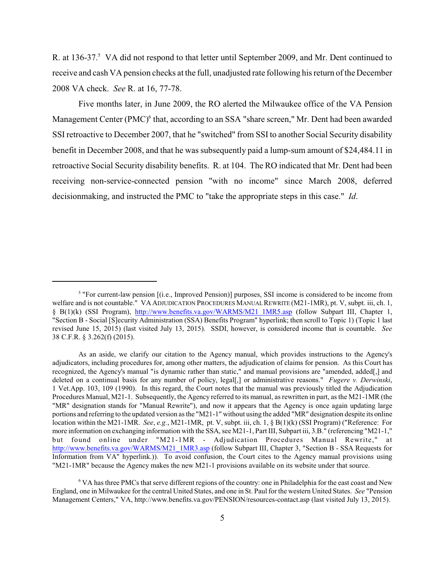R. at 136-37.<sup>5</sup> VA did not respond to that letter until September 2009, and Mr. Dent continued to receive and cash VA pension checks at the full, unadjusted rate following his return of the December 2008 VA check. *See* R. at 16, 77-78.

Five months later, in June 2009, the RO alerted the Milwaukee office of the VA Pension Management Center (PMC)<sup>6</sup> that, according to an SSA "share screen," Mr. Dent had been awarded SSI retroactive to December 2007, that he "switched" from SSI to another Social Security disability benefit in December 2008, and that he was subsequently paid a lump-sum amount of \$24,484.11 in retroactive Social Security disability benefits. R. at 104. The RO indicated that Mr. Dent had been receiving non-service-connected pension "with no income" since March 2008, deferred decisionmaking, and instructed the PMC to "take the appropriate steps in this case." *Id*.

 $\frac{1}{2}$  "For current-law pension  $[(i.e., \text{Improved}~Pension)]$  purposes, SSI income is considered to be income from welfare and is not countable." VA ADJUDICATION PROCEDURES MANUAL REWRITE (M21-1MR), pt. V, subpt. iii, ch. 1, § B(1)(k) (SSI Program), [http://www.benefits.va.gov/WARMS/M21\\_1MR5.asp](http://www.benefits.va.gov/WARMS/M21_1MR5.asp) (follow Subpart III, Chapter 1, "Section B - Social [S]ecurity Administration (SSA) Benefits Program" hyperlink; then scroll to Topic 1) (Topic 1 last revised June 15, 2015) (last visited July 13, 2015). SSDI, however, is considered income that is countable. *See* 38 C.F.R. § 3.262(f) (2015).

As an aside, we clarify our citation to the Agency manual, which provides instructions to the Agency's adjudicators, including procedures for, among other matters, the adjudication of claims for pension. As this Court has recognized, the Agency's manual "is dynamic rather than static," and manual provisions are "amended, added[,] and deleted on a continual basis for any number of policy, legal[,] or administrative reasons." *Fugere v. Derwinski*, 1 Vet.App. 103, 109 (1990). In this regard, the Court notes that the manual was previously titled the Adjudication Procedures Manual, M21-1. Subsequently, the Agency referred to its manual, as rewritten in part, as the M21-1MR (the "MR" designation stands for "Manual Rewrite"), and now it appears that the Agency is once again updating large portions and referring to the updated version as the "M21-1" without using the added "MR" designation despite its online location within the M21-1MR. *See*, *e.g.*, M21-1MR, pt. V, subpt. iii, ch. 1, § B(1)(k) (SSI Program) ("Reference: For more information on exchanging information with the SSA, see M21-1, Part III, Subpart iii, 3.B." (referencing "M21-1," but found online under "M21-1MR - Adjudication Procedures Manual Rewrite," at [http://www.benefits.va.gov/WARMS/M21\\_1MR3.asp](http://www.benefits.va.gov/WARMS/M21_1MR3.asp) (follow Subpart III, Chapter 3, "Section B - SSA Requests for Information from VA" hyperlink.)). To avoid confusion, the Court cites to the Agency manual provisions using "M21-1MR" because the Agency makes the new M21-1 provisions available on its website under that source.

<sup>&</sup>lt;sup>6</sup> VA has three PMCs that serve different regions of the country: one in Philadelphia for the east coast and New England, one in Milwaukee for the central United States, and one in St. Paul for the western United States. *See* "Pension Management Centers," VA, http://www.benefits.va.gov/PENSION/resources-contact.asp (last visited July 13, 2015).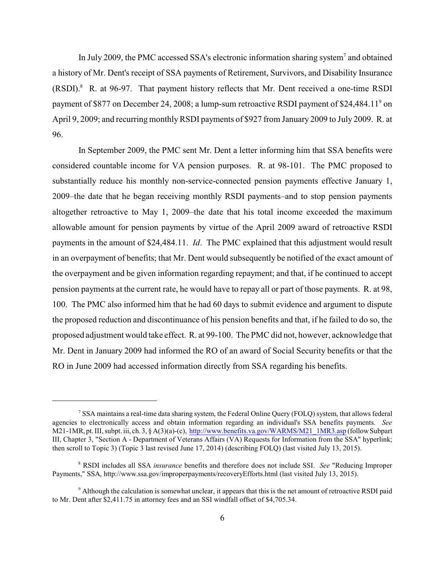In July 2009, the PMC accessed SSA's electronic information sharing system<sup>7</sup> and obtained a history of Mr. Dent's receipt of SSA payments of Retirement, Survivors, and Disability Insurance  $(RSDI).$ <sup>8</sup> R. at 96-97. That payment history reflects that Mr. Dent received a one-time RSDI payment of \$877 on December 24, 2008; a lump-sum retroactive RSDI payment of \$24,484.11<sup>9</sup> on April 9, 2009; and recurring monthly RSDI payments of \$927 from January 2009 to July 2009. R. at 96.

In September 2009, the PMC sent Mr. Dent a letter informing him that SSA benefits were considered countable income for VA pension purposes. R. at 98-101. The PMC proposed to substantially reduce his monthly non-service-connected pension payments effective January 1, 2009–the date that he began receiving monthly RSDI payments–and to stop pension payments altogether retroactive to May 1, 2009–the date that his total income exceeded the maximum allowable amount for pension payments by virtue of the April 2009 award of retroactive RSDI payments in the amount of \$24,484.11. *Id*. The PMC explained that this adjustment would result in an overpayment of benefits; that Mr. Dent would subsequently be notified of the exact amount of the overpayment and be given information regarding repayment; and that, if he continued to accept pension payments at the current rate, he would have to repay all or part of those payments. R. at 98, 100. The PMC also informed him that he had 60 days to submit evidence and argument to dispute the proposed reduction and discontinuance of his pension benefits and that, if he failed to do so, the proposed adjustment would take effect. R. at 99-100. The PMC did not, however, acknowledge that Mr. Dent in January 2009 had informed the RO of an award of Social Security benefits or that the RO in June 2009 had accessed information directly from SSA regarding his benefits.

<sup>&</sup>lt;sup>7</sup> SSA maintains a real-time data sharing system, the Federal Online Query (FOLQ) system, that allows federal agencies to electronically access and obtain information regarding an individual's SSA benefits payments. *See* M21-1MR, pt. III, subpt. iii, ch. 3, § A(3)(a)-(c), [http://www.benefits.va.gov/WARMS/M21\\_1MR3.asp](http://www.benefits.va.gov/WARMS/M21_1MR3.asp) (followSubpart III, Chapter 3, "Section A - Department of Veterans Affairs (VA) Requests for Information from the SSA" hyperlink; then scroll to Topic 3) (Topic 3 last revised June 17, 2014) (describing FOLQ) (last visited July 13, 2015).

RSDI includes all SSA *insurance* benefits and therefore does not include SSI. *See* "Reducing Improper <sup>8</sup> Payments," SSA, http://www.ssa.gov/improperpayments/recoveryEfforts.html (last visited July 13, 2015).

<sup>&</sup>lt;sup>9</sup> Although the calculation is somewhat unclear, it appears that this is the net amount of retroactive RSDI paid to Mr. Dent after \$2,411.75 in attorney fees and an SSI windfall offset of \$4,705.34.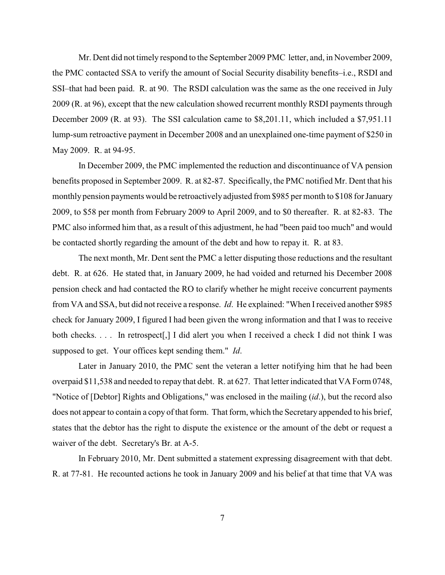Mr. Dent did not timely respond to the September 2009 PMC letter, and, in November 2009, the PMC contacted SSA to verify the amount of Social Security disability benefits–i.e., RSDI and SSI–that had been paid. R. at 90. The RSDI calculation was the same as the one received in July 2009 (R. at 96), except that the new calculation showed recurrent monthly RSDI payments through December 2009 (R. at 93). The SSI calculation came to \$8,201.11, which included a \$7,951.11 lump-sum retroactive payment in December 2008 and an unexplained one-time payment of \$250 in May 2009. R. at 94-95.

In December 2009, the PMC implemented the reduction and discontinuance of VA pension benefits proposed in September 2009. R. at 82-87. Specifically, the PMC notified Mr. Dent that his monthly pension payments would be retroactivelyadjusted from \$985 per month to \$108 for January 2009, to \$58 per month from February 2009 to April 2009, and to \$0 thereafter. R. at 82-83. The PMC also informed him that, as a result of this adjustment, he had "been paid too much" and would be contacted shortly regarding the amount of the debt and how to repay it. R. at 83.

The next month, Mr. Dent sent the PMC a letter disputing those reductions and the resultant debt. R. at 626. He stated that, in January 2009, he had voided and returned his December 2008 pension check and had contacted the RO to clarify whether he might receive concurrent payments from VA and SSA, but did not receive a response. *Id*. He explained: "When Ireceived another \$985 check for January 2009, I figured I had been given the wrong information and that I was to receive both checks. . . . In retrospect[,] I did alert you when I received a check I did not think I was supposed to get. Your offices kept sending them." *Id*.

Later in January 2010, the PMC sent the veteran a letter notifying him that he had been overpaid \$11,538 and needed to repay that debt. R. at 627. That letter indicated that VA Form 0748, "Notice of [Debtor] Rights and Obligations," was enclosed in the mailing (*id*.), but the record also does not appear to contain a copy of that form. That form, which the Secretary appended to his brief, states that the debtor has the right to dispute the existence or the amount of the debt or request a waiver of the debt. Secretary's Br. at A-5.

In February 2010, Mr. Dent submitted a statement expressing disagreement with that debt. R. at 77-81. He recounted actions he took in January 2009 and his belief at that time that VA was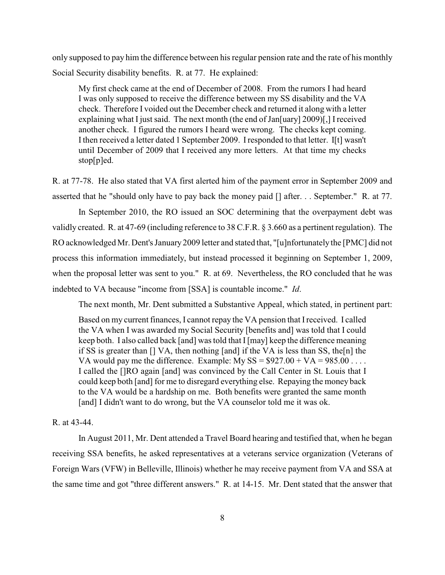only supposed to pay him the difference between his regular pension rate and the rate of his monthly Social Security disability benefits. R. at 77. He explained:

My first check came at the end of December of 2008. From the rumors I had heard I was only supposed to receive the difference between my SS disability and the VA check. Therefore I voided out the December check and returned it along with a letter explaining what I just said. The next month (the end of Jan[uary] 2009)[,] Ireceived another check. I figured the rumors I heard were wrong. The checks kept coming. I then received a letter dated 1 September 2009. Iresponded to that letter. I[t] wasn't until December of 2009 that I received any more letters. At that time my checks stop[p]ed.

R. at 77-78. He also stated that VA first alerted him of the payment error in September 2009 and asserted that he "should only have to pay back the money paid [] after. . . September." R. at 77.

In September 2010, the RO issued an SOC determining that the overpayment debt was validly created. R. at 47-69 (including reference to 38 C.F.R. § 3.660 as a pertinent regulation). The RO acknowledged Mr. Dent's January 2009 letter and stated that, "[u]nfortunately the [PMC] did not process this information immediately, but instead processed it beginning on September 1, 2009, when the proposal letter was sent to you." R. at 69. Nevertheless, the RO concluded that he was indebted to VA because "income from [SSA] is countable income." *Id*.

The next month, Mr. Dent submitted a Substantive Appeal, which stated, in pertinent part:

Based on my current finances, I cannot repay the VA pension that Ireceived. I called the VA when I was awarded my Social Security [benefits and] was told that I could keep both. I also called back [and] was told that I[may] keep the difference meaning if SS is greater than [] VA, then nothing [and] if the VA is less than SS, the[n] the VA would pay me the difference. Example: My SS =  $$927.00 + VA = 985.00$  ... I called the []RO again [and] was convinced by the Call Center in St. Louis that I could keep both [and] for me to disregard everything else. Repaying the money back to the VA would be a hardship on me. Both benefits were granted the same month [and] I didn't want to do wrong, but the VA counselor told me it was ok.

### R. at 43-44.

In August 2011, Mr. Dent attended a Travel Board hearing and testified that, when he began receiving SSA benefits, he asked representatives at a veterans service organization (Veterans of Foreign Wars (VFW) in Belleville, Illinois) whether he may receive payment from VA and SSA at the same time and got "three different answers." R. at 14-15. Mr. Dent stated that the answer that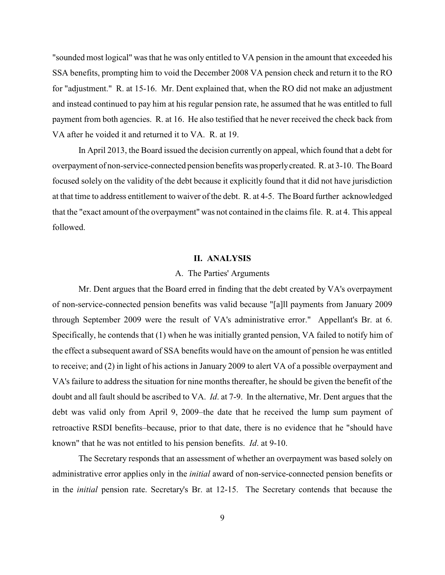"sounded most logical" was that he was only entitled to VA pension in the amount that exceeded his SSA benefits, prompting him to void the December 2008 VA pension check and return it to the RO for "adjustment." R. at 15-16. Mr. Dent explained that, when the RO did not make an adjustment and instead continued to pay him at his regular pension rate, he assumed that he was entitled to full payment from both agencies. R. at 16. He also testified that he never received the check back from VA after he voided it and returned it to VA. R. at 19.

In April 2013, the Board issued the decision currently on appeal, which found that a debt for overpayment of non-service-connected pension benefits was properlycreated. R. at 3-10. The Board focused solely on the validity of the debt because it explicitly found that it did not have jurisdiction at that time to address entitlement to waiver of the debt. R. at 4-5. The Board further acknowledged that the "exact amount of the overpayment" was not contained in the claims file. R. at 4. This appeal followed.

### **II. ANALYSIS**

#### A. The Parties' Arguments

Mr. Dent argues that the Board erred in finding that the debt created by VA's overpayment of non-service-connected pension benefits was valid because "[a]ll payments from January 2009 through September 2009 were the result of VA's administrative error." Appellant's Br. at 6. Specifically, he contends that (1) when he was initially granted pension, VA failed to notify him of the effect a subsequent award of SSA benefits would have on the amount of pension he was entitled to receive; and (2) in light of his actions in January 2009 to alert VA of a possible overpayment and VA's failure to address the situation for nine months thereafter, he should be given the benefit of the doubt and all fault should be ascribed to VA. *Id*. at 7-9. In the alternative, Mr. Dent argues that the debt was valid only from April 9, 2009–the date that he received the lump sum payment of retroactive RSDI benefits–because, prior to that date, there is no evidence that he "should have known" that he was not entitled to his pension benefits. *Id*. at 9-10.

The Secretary responds that an assessment of whether an overpayment was based solely on administrative error applies only in the *initial* award of non-service-connected pension benefits or in the *initial* pension rate. Secretary's Br. at 12-15. The Secretary contends that because the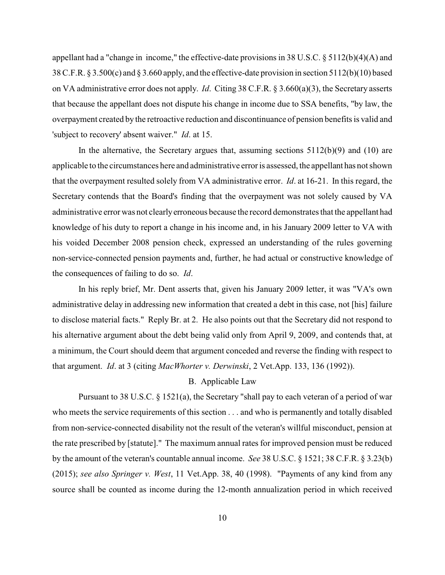appellant had a "change in income," the effective-date provisions in 38 U.S.C. § 5112(b)(4)(A) and 38 C.F.R. § 3.500(c) and § 3.660 apply, and the effective-date provision in section 5112(b)(10) based on VA administrative error does not apply. *Id*. Citing 38 C.F.R. § 3.660(a)(3), the Secretary asserts that because the appellant does not dispute his change in income due to SSA benefits, "by law, the overpayment created by the retroactive reduction and discontinuance of pension benefits is valid and 'subject to recovery' absent waiver." *Id*. at 15.

In the alternative, the Secretary argues that, assuming sections  $5112(b)(9)$  and  $(10)$  are applicable to the circumstances here and administrative error is assessed, the appellant has not shown that the overpayment resulted solely from VA administrative error. *Id*. at 16-21. In this regard, the Secretary contends that the Board's finding that the overpayment was not solely caused by VA administrative error was not clearlyerroneous because the record demonstrates that the appellant had knowledge of his duty to report a change in his income and, in his January 2009 letter to VA with his voided December 2008 pension check, expressed an understanding of the rules governing non-service-connected pension payments and, further, he had actual or constructive knowledge of the consequences of failing to do so. *Id*.

In his reply brief, Mr. Dent asserts that, given his January 2009 letter, it was "VA's own administrative delay in addressing new information that created a debt in this case, not [his] failure to disclose material facts." Reply Br. at 2. He also points out that the Secretary did not respond to his alternative argument about the debt being valid only from April 9, 2009, and contends that, at a minimum, the Court should deem that argument conceded and reverse the finding with respect to that argument. *Id*. at 3 (citing *MacWhorter v. Derwinski*, 2 Vet.App. 133, 136 (1992)).

### B. Applicable Law

Pursuant to 38 U.S.C. § 1521(a), the Secretary "shall pay to each veteran of a period of war who meets the service requirements of this section . . . and who is permanently and totally disabled from non-service-connected disability not the result of the veteran's willful misconduct, pension at the rate prescribed by [statute]." The maximum annual rates for improved pension must be reduced by the amount of the veteran's countable annual income. *See* 38 U.S.C. § 1521; 38 C.F.R. § 3.23(b) (2015); *see also Springer v. West*, 11 Vet.App. 38, 40 (1998). "Payments of any kind from any source shall be counted as income during the 12-month annualization period in which received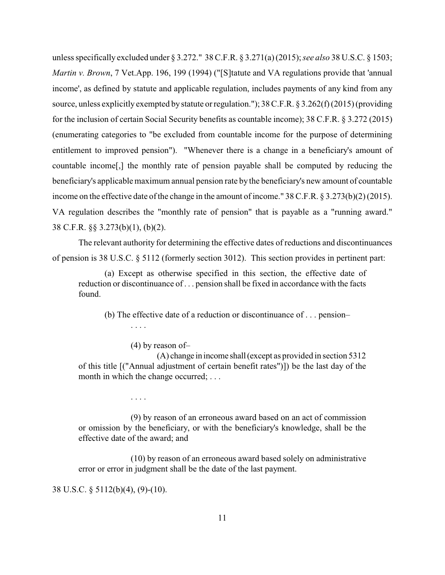unless specifically excluded under § 3.272." 38 C.F.R. § 3.271(a)(2015); *see also* 38 U.S.C. § 1503; *Martin v. Brown*, 7 Vet.App. 196, 199 (1994) ("[S]tatute and VA regulations provide that 'annual income', as defined by statute and applicable regulation, includes payments of any kind from any source, unless explicitly exempted by statute or regulation."); 38 C.F.R. § 3.262(f)(2015) (providing for the inclusion of certain Social Security benefits as countable income); 38 C.F.R. § 3.272 (2015) (enumerating categories to "be excluded from countable income for the purpose of determining entitlement to improved pension"). "Whenever there is a change in a beneficiary's amount of countable income[,] the monthly rate of pension payable shall be computed by reducing the beneficiary's applicablemaximum annual pension rate by the beneficiary's new amount of countable income on the effective date of the change in the amount of income." 38 C.F.R. § 3.273(b)(2) (2015). VA regulation describes the "monthly rate of pension" that is payable as a "running award." 38 C.F.R. §§ 3.273(b)(1), (b)(2).

The relevant authority for determining the effective dates of reductions and discontinuances of pension is 38 U.S.C. § 5112 (formerly section 3012). This section provides in pertinent part:

(a) Except as otherwise specified in this section, the effective date of reduction or discontinuance of . . . pension shall be fixed in accordance with the facts found.

(b) The effective date of a reduction or discontinuance of . . . pension– . . . .

(4) by reason of–

(A) change in income shall(except as provided in section 5312 of this title [("Annual adjustment of certain benefit rates")]) be the last day of the month in which the change occurred; ...

. . . .

(9) by reason of an erroneous award based on an act of commission or omission by the beneficiary, or with the beneficiary's knowledge, shall be the effective date of the award; and

(10) by reason of an erroneous award based solely on administrative error or error in judgment shall be the date of the last payment.

38 U.S.C. § 5112(b)(4), (9)-(10).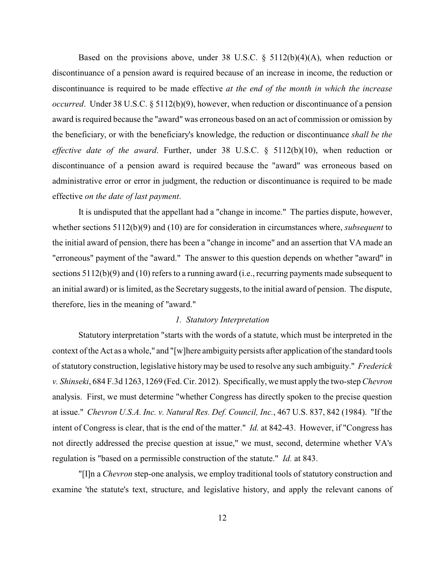Based on the provisions above, under 38 U.S.C.  $\S$  5112(b)(4)(A), when reduction or discontinuance of a pension award is required because of an increase in income, the reduction or discontinuance is required to be made effective *at the end of the month in which the increase occurred*. Under 38 U.S.C. § 5112(b)(9), however, when reduction or discontinuance of a pension award is required because the "award" was erroneous based on an act of commission or omission by the beneficiary, or with the beneficiary's knowledge, the reduction or discontinuance *shall be the effective date of the award*. Further, under 38 U.S.C. § 5112(b)(10), when reduction or discontinuance of a pension award is required because the "award" was erroneous based on administrative error or error in judgment, the reduction or discontinuance is required to be made effective *on the date of last payment*.

It is undisputed that the appellant had a "change in income." The parties dispute, however, whether sections 5112(b)(9) and (10) are for consideration in circumstances where, *subsequent* to the initial award of pension, there has been a "change in income" and an assertion that VA made an "erroneous" payment of the "award." The answer to this question depends on whether "award" in sections 5112(b)(9) and (10) refers to a running award (i.e., recurring payments made subsequent to an initial award) or is limited, as the Secretary suggests, to the initial award of pension. The dispute, therefore, lies in the meaning of "award."

# *1. Statutory Interpretation*

Statutory interpretation "starts with the words of a statute, which must be interpreted in the context of the Act as a whole," and "[w]here ambiguity persists after application of the standard tools of statutory construction, legislative history may be used to resolve any such ambiguity." *Frederick v. Shinseki*, 684 F.3d 1263, 1269 (Fed. Cir. 2012). Specifically, we must apply the two-step *Chevron* analysis. First, we must determine "whether Congress has directly spoken to the precise question at issue." *Chevron U.S.A. Inc. v. Natural Res. Def. Council, Inc.*, 467 U.S. 837, 842 (1984). "If the intent of Congress is clear, that is the end of the matter." *Id.* at 842-43. However, if "Congress has not directly addressed the precise question at issue," we must, second, determine whether VA's regulation is "based on a permissible construction of the statute." *Id.* at 843.

"[I]n a *Chevron* step-one analysis, we employ traditional tools of statutory construction and examine 'the statute's text, structure, and legislative history, and apply the relevant canons of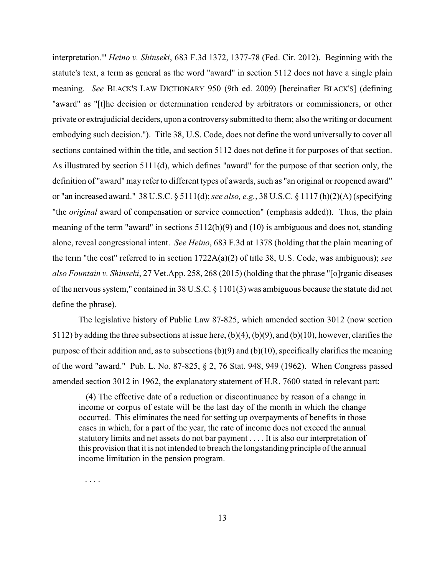interpretation.'" *Heino v. Shinseki*, 683 F.3d 1372, 1377-78 (Fed. Cir. 2012). Beginning with the statute's text, a term as general as the word "award" in section 5112 does not have a single plain meaning. *See* BLACK'S LAW DICTIONARY 950 (9th ed. 2009) [hereinafter BLACK'S] (defining "award" as "[t]he decision or determination rendered by arbitrators or commissioners, or other private or extrajudicial deciders, upon a controversysubmitted to them; also the writing or document embodying such decision."). Title 38, U.S. Code, does not define the word universally to cover all sections contained within the title, and section 5112 does not define it for purposes of that section. As illustrated by section 5111(d), which defines "award" for the purpose of that section only, the definition of "award" may refer to different types of awards, such as "an original or reopened award" or "an increased award." 38 U.S.C. § 5111(d); *see also, e.g.*, 38 U.S.C. § 1117 (h)(2)(A) (specifying "the *original* award of compensation or service connection" (emphasis added)). Thus, the plain meaning of the term "award" in sections 5112(b)(9) and (10) is ambiguous and does not, standing alone, reveal congressional intent. *See Heino*, 683 F.3d at 1378 (holding that the plain meaning of the term "the cost" referred to in section 1722A(a)(2) of title 38, U.S. Code, was ambiguous); *see also Fountain v. Shinseki*, 27 Vet.App. 258, 268 (2015) (holding that the phrase "[o]rganic diseases of the nervous system," contained in 38 U.S.C. § 1101(3) was ambiguous because the statute did not define the phrase).

The legislative history of Public Law 87-825, which amended section 3012 (now section 5112) by adding the three subsections at issue here, (b)(4), (b)(9), and (b)(10), however, clarifies the purpose of their addition and, as to subsections (b)(9) and (b)(10), specifically clarifies the meaning of the word "award." Pub. L. No. 87-825, § 2, 76 Stat. 948, 949 (1962). When Congress passed amended section 3012 in 1962, the explanatory statement of H.R. 7600 stated in relevant part:

(4) The effective date of a reduction or discontinuance by reason of a change in income or corpus of estate will be the last day of the month in which the change occurred. This eliminates the need for setting up overpayments of benefits in those cases in which, for a part of the year, the rate of income does not exceed the annual statutory limits and net assets do not bar payment . . . . It is also our interpretation of this provision that it is not intended to breach the longstanding principle of the annual income limitation in the pension program.

. . . .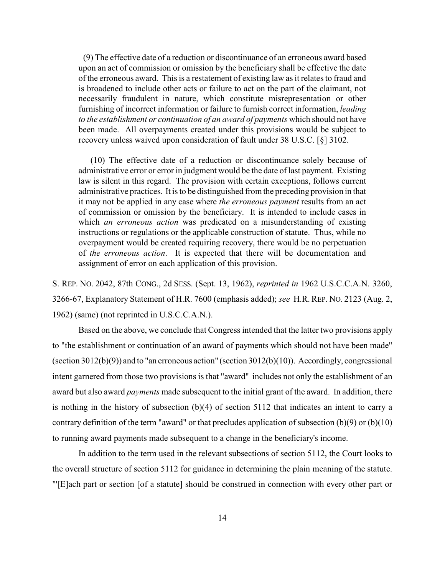(9) The effective date of a reduction or discontinuance of an erroneous award based upon an act of commission or omission by the beneficiary shall be effective the date of the erroneous award. This is a restatement of existing law as it relates to fraud and is broadened to include other acts or failure to act on the part of the claimant, not necessarily fraudulent in nature, which constitute misrepresentation or other furnishing of incorrect information or failure to furnish correct information, *leading to the establishment or continuation of an award of payments* which should not have been made. All overpayments created under this provisions would be subject to recovery unless waived upon consideration of fault under 38 U.S.C. [§] 3102.

(10) The effective date of a reduction or discontinuance solely because of administrative error or error in judgment would be the date of last payment. Existing law is silent in this regard. The provision with certain exceptions, follows current administrative practices. It is to be distinguished from the preceding provision in that it may not be applied in any case where *the erroneous payment* results from an act of commission or omission by the beneficiary. It is intended to include cases in which *an erroneous action* was predicated on a misunderstanding of existing instructions or regulations or the applicable construction of statute. Thus, while no overpayment would be created requiring recovery, there would be no perpetuation of *the erroneous action*. It is expected that there will be documentation and assignment of error on each application of this provision.

S. REP. NO. 2042, 87th CONG., 2d SESS. (Sept. 13, 1962), *reprinted in* 1962 U.S.C.C.A.N. 3260, 3266-67, Explanatory Statement of H.R. 7600 (emphasis added); *see* H.R. REP. NO. 2123 (Aug. 2, 1962) (same) (not reprinted in U.S.C.C.A.N.).

Based on the above, we conclude that Congress intended that the latter two provisions apply to "the establishment or continuation of an award of payments which should not have been made" (section 3012(b)(9)) and to "an erroneous action" (section 3012(b)(10)). Accordingly, congressional intent garnered from those two provisions is that "award" includes not only the establishment of an award but also award *payments* made subsequent to the initial grant of the award. In addition, there is nothing in the history of subsection (b)(4) of section 5112 that indicates an intent to carry a contrary definition of the term "award" or that precludes application of subsection (b)(9) or (b)(10) to running award payments made subsequent to a change in the beneficiary's income.

In addition to the term used in the relevant subsections of section 5112, the Court looks to the overall structure of section 5112 for guidance in determining the plain meaning of the statute. "'[E]ach part or section [of a statute] should be construed in connection with every other part or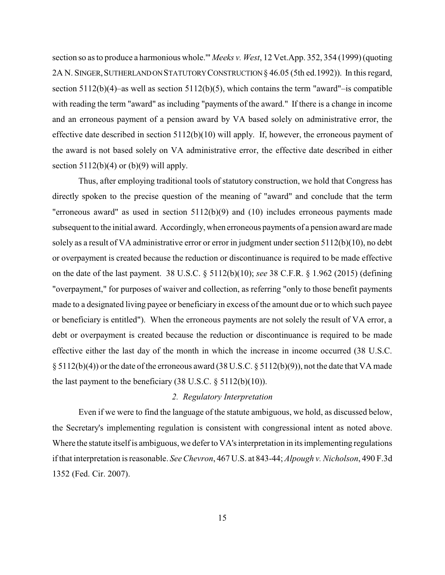section so as to produce a harmonious whole.'" *Meeks v. West*, 12 Vet.App. 352, 354 (1999) (quoting 2A N. SINGER, SUTHERLANDON STATUTORY CONSTRUCTION § 46.05 (5th ed.1992)). In this regard, section 5112(b)(4)–as well as section 5112(b)(5), which contains the term "award"–is compatible with reading the term "award" as including "payments of the award." If there is a change in income and an erroneous payment of a pension award by VA based solely on administrative error, the effective date described in section 5112(b)(10) will apply. If, however, the erroneous payment of the award is not based solely on VA administrative error, the effective date described in either section  $5112(b)(4)$  or  $(b)(9)$  will apply.

Thus, after employing traditional tools of statutory construction, we hold that Congress has directly spoken to the precise question of the meaning of "award" and conclude that the term "erroneous award" as used in section 5112(b)(9) and (10) includes erroneous payments made subsequent to the initial award. Accordingly, when erroneous payments of a pension award aremade solely as a result of VA administrative error or error in judgment under section 5112(b)(10), no debt or overpayment is created because the reduction or discontinuance is required to be made effective on the date of the last payment. 38 U.S.C. § 5112(b)(10); *see* 38 C.F.R. § 1.962 (2015) (defining "overpayment," for purposes of waiver and collection, as referring "only to those benefit payments made to a designated living payee or beneficiary in excess of the amount due or to which such payee or beneficiary is entitled"). When the erroneous payments are not solely the result of VA error, a debt or overpayment is created because the reduction or discontinuance is required to be made effective either the last day of the month in which the increase in income occurred (38 U.S.C. § 5112(b)(4)) or the date of the erroneous award (38 U.S.C. § 5112(b)(9)), not the date that VA made the last payment to the beneficiary  $(38 \text{ U.S.C.} \S 5112(b)(10))$ .

## *2. Regulatory Interpretation*

Even if we were to find the language of the statute ambiguous, we hold, as discussed below, the Secretary's implementing regulation is consistent with congressional intent as noted above. Where the statute itself is ambiguous, we defer to VA's interpretation in its implementing regulations if that interpretation is reasonable. *See Chevron*, 467 U.S. at 843-44; *Alpough v. Nicholson*, 490 F.3d 1352 (Fed. Cir. 2007).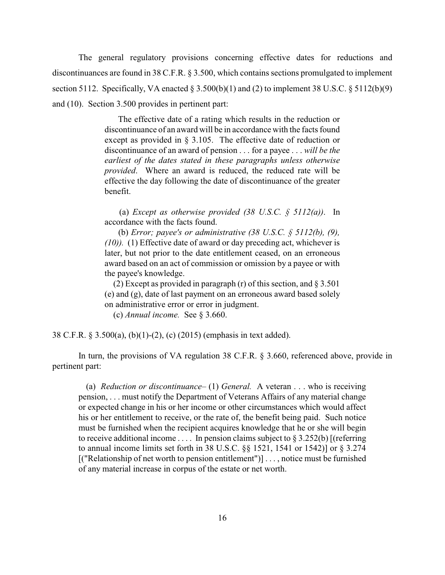The general regulatory provisions concerning effective dates for reductions and discontinuances are found in 38 C.F.R. § 3.500, which contains sections promulgated to implement section 5112. Specifically, VA enacted  $\S 3.500(b)(1)$  and (2) to implement 38 U.S.C.  $\S 5112(b)(9)$ and (10). Section 3.500 provides in pertinent part:

> The effective date of a rating which results in the reduction or discontinuance of an award will be in accordance with the facts found except as provided in § 3.105. The effective date of reduction or discontinuance of an award of pension . . . for a payee . . . *will be the earliest of the dates stated in these paragraphs unless otherwise provided*. Where an award is reduced, the reduced rate will be effective the day following the date of discontinuance of the greater benefit.

> (a) *Except as otherwise provided (38 U.S.C. § 5112(a))*. In accordance with the facts found.

> (b) *Error; payee's or administrative (38 U.S.C. § 5112(b), (9), (10)).* (1) Effective date of award or day preceding act, whichever is later, but not prior to the date entitlement ceased, on an erroneous award based on an act of commission or omission by a payee or with the payee's knowledge.

> (2) Except as provided in paragraph (r) of this section, and § 3.501 (e) and (g), date of last payment on an erroneous award based solely on administrative error or error in judgment.

(c) *Annual income.* See § 3.660.

38 C.F.R. § 3.500(a), (b)(1)-(2), (c) (2015) (emphasis in text added).

In turn, the provisions of VA regulation 38 C.F.R. § 3.660, referenced above, provide in pertinent part:

(a) *Reduction or discontinuance–* (1) *General.* A veteran . . . who is receiving pension, . . . must notify the Department of Veterans Affairs of any material change or expected change in his or her income or other circumstances which would affect his or her entitlement to receive, or the rate of, the benefit being paid. Such notice must be furnished when the recipient acquires knowledge that he or she will begin to receive additional income .... In pension claims subject to  $\S 3.252(b)$  [(referring to annual income limits set forth in 38 U.S.C. §§ 1521, 1541 or 1542)] or § 3.274 [("Relationship of net worth to pension entitlement")] . . . , notice must be furnished of any material increase in corpus of the estate or net worth.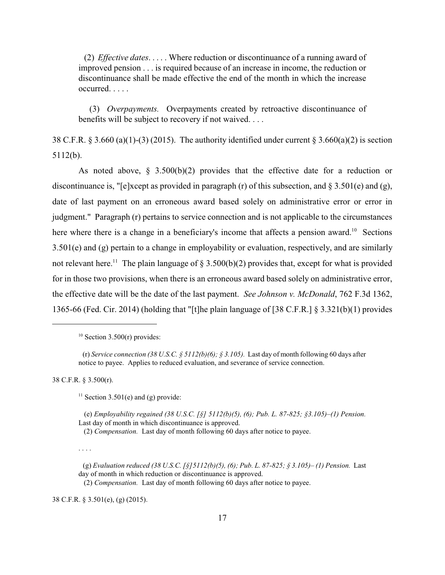(2) *Effective dates*. . . . . Where reduction or discontinuance of a running award of improved pension . . . is required because of an increase in income, the reduction or discontinuance shall be made effective the end of the month in which the increase occurred. . . . .

(3) *Overpayments.* Overpayments created by retroactive discontinuance of benefits will be subject to recovery if not waived. . . .

38 C.F.R. § 3.660 (a)(1)-(3) (2015). The authority identified under current § 3.660(a)(2) is section 5112(b).

As noted above,  $\S$  3.500(b)(2) provides that the effective date for a reduction or discontinuance is, "[e]xcept as provided in paragraph (r) of this subsection, and § 3.501(e) and (g), date of last payment on an erroneous award based solely on administrative error or error in judgment." Paragraph (r) pertains to service connection and is not applicable to the circumstances here where there is a change in a beneficiary's income that affects a pension award.<sup>10</sup> Sections 3.501(e) and (g) pertain to a change in employability or evaluation, respectively, and are similarly not relevant here.<sup>11</sup> The plain language of  $\S 3.500(b)(2)$  provides that, except for what is provided for in those two provisions, when there is an erroneous award based solely on administrative error, the effective date will be the date of the last payment. *See Johnson v. McDonald*, 762 F.3d 1362, 1365-66 (Fed. Cir. 2014) (holding that "[t]he plain language of [38 C.F.R.] § 3.321(b)(1) provides

38 C.F.R. § 3.500(r).

<sup>11</sup> Section 3.501(e) and (g) provide:

 (e) *Employability regained (38 U.S.C. [§] 5112(b)(5), (6); Pub. L. 87-825; §3.105)–(1) Pension.*  Last day of month in which discontinuance is approved.

(2) *Compensation.* Last day of month following 60 days after notice to payee.

. . . .

(2) *Compensation.* Last day of month following 60 days after notice to payee.

38 C.F.R. § 3.501(e), (g) (2015).

 $10$  Section 3.500(r) provides:

<sup>(</sup>r) *Service connection (38 U.S.C. § 5112(b)(6); § 3.105).* Last day of month following 60 days after notice to payee. Applies to reduced evaluation, and severance of service connection.

<sup>(</sup>g) *Evaluation reduced (38 U.S.C. [§]5112(b)(5), (6); Pub. L. 87-825; § 3.105)– (1) Pension.* Last day of month in which reduction or discontinuance is approved.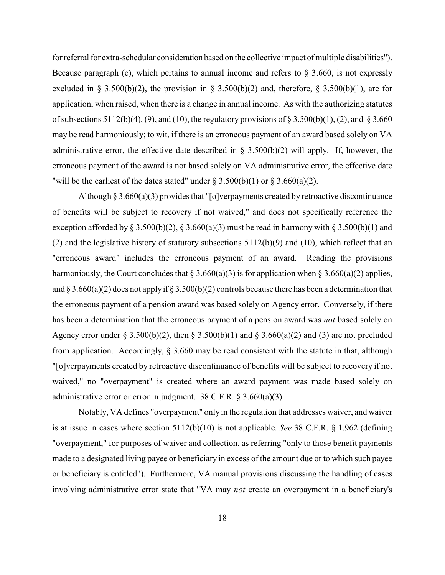for referral for extra-schedular consideration based on the collective impact of multiple disabilities"). Because paragraph (c), which pertains to annual income and refers to  $\S$  3.660, is not expressly excluded in § 3.500(b)(2), the provision in § 3.500(b)(2) and, therefore, § 3.500(b)(1), are for application, when raised, when there is a change in annual income. As with the authorizing statutes of subsections  $5112(b)(4)$ , (9), and (10), the regulatory provisions of § 3.500(b)(1), (2), and § 3.660 may be read harmoniously; to wit, if there is an erroneous payment of an award based solely on VA administrative error, the effective date described in  $\S$  3.500(b)(2) will apply. If, however, the erroneous payment of the award is not based solely on VA administrative error, the effective date "will be the earliest of the dates stated" under  $\S 3.500(b)(1)$  or  $\S 3.660(a)(2)$ .

Although  $\S 3.660(a)(3)$  provides that "[o]verpayments created by retroactive discontinuance of benefits will be subject to recovery if not waived," and does not specifically reference the exception afforded by § 3.500(b)(2), § 3.660(a)(3) must be read in harmony with § 3.500(b)(1) and (2) and the legislative history of statutory subsections  $5112(b)(9)$  and (10), which reflect that an "erroneous award" includes the erroneous payment of an award. Reading the provisions harmoniously, the Court concludes that § 3.660(a)(3) is for application when § 3.660(a)(2) applies, and  $\S 3.660(a)(2)$  does not apply if  $\S 3.500(b)(2)$  controls because there has been a determination that the erroneous payment of a pension award was based solely on Agency error. Conversely, if there has been a determination that the erroneous payment of a pension award was *not* based solely on Agency error under § 3.500(b)(2), then § 3.500(b)(1) and § 3.660(a)(2) and (3) are not precluded from application. Accordingly, § 3.660 may be read consistent with the statute in that, although "[o]verpayments created by retroactive discontinuance of benefits will be subject to recovery if not waived," no "overpayment" is created where an award payment was made based solely on administrative error or error in judgment. 38 C.F.R. § 3.660(a)(3).

Notably, VA defines "overpayment" only in the regulation that addresses waiver, and waiver is at issue in cases where section 5112(b)(10) is not applicable. *See* 38 C.F.R. § 1.962 (defining "overpayment," for purposes of waiver and collection, as referring "only to those benefit payments made to a designated living payee or beneficiary in excess of the amount due or to which such payee or beneficiary is entitled"). Furthermore, VA manual provisions discussing the handling of cases involving administrative error state that "VA may *not* create an overpayment in a beneficiary's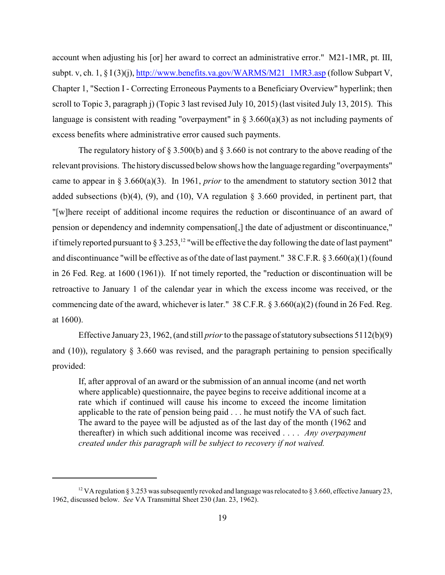account when adjusting his [or] her award to correct an administrative error." M21-1MR, pt. III, subpt. v, ch. 1, § I(3)(j), [http://www.benefits.va.gov/WARMS/M21\\_1MR3.asp](http://www.benefits.va.gov/WARMS/M21_1MR3.asp) (follow Subpart V, Chapter 1, "Section I - Correcting Erroneous Payments to a Beneficiary Overview" hyperlink; then scroll to Topic 3, paragraph j) (Topic 3 last revised July 10, 2015) (last visited July 13, 2015). This language is consistent with reading "overpayment" in  $\S 3.660(a)(3)$  as not including payments of excess benefits where administrative error caused such payments.

The regulatory history of  $\S 3.500(b)$  and  $\S 3.660$  is not contrary to the above reading of the relevant provisions. The history discussed below shows how the language regarding "overpayments" came to appear in § 3.660(a)(3). In 1961, *prior* to the amendment to statutory section 3012 that added subsections (b)(4), (9), and (10), VA regulation  $\S$  3.660 provided, in pertinent part, that "[w]here receipt of additional income requires the reduction or discontinuance of an award of pension or dependency and indemnity compensation[,] the date of adjustment or discontinuance," if timely reported pursuant to  $\S 3.253$ , <sup>12</sup> "will be effective the day following the date of last payment" and discontinuance "will be effective as of the date of last payment." 38 C.F.R. § 3.660(a)(1) (found in 26 Fed. Reg. at 1600 (1961)). If not timely reported, the "reduction or discontinuation will be retroactive to January 1 of the calendar year in which the excess income was received, or the commencing date of the award, whichever is later." 38 C.F.R. § 3.660(a)(2) (found in 26 Fed. Reg. at 1600).

Effective January 23, 1962, (and still *prior*to the passage of statutory subsections 5112(b)(9) and  $(10)$ ), regulatory § 3.660 was revised, and the paragraph pertaining to pension specifically provided:

If, after approval of an award or the submission of an annual income (and net worth where applicable) questionnaire, the payee begins to receive additional income at a rate which if continued will cause his income to exceed the income limitation applicable to the rate of pension being paid . . . he must notify the VA of such fact. The award to the payee will be adjusted as of the last day of the month (1962 and thereafter) in which such additional income was received . . . . *Any overpayment created under this paragraph will be subject to recovery if not waived.*

<sup>&</sup>lt;sup>12</sup> VA regulation § 3.253 was subsequently revoked and language was relocated to § 3.660, effective January 23, 1962, discussed below. *See* VA Transmittal Sheet 230 (Jan. 23, 1962).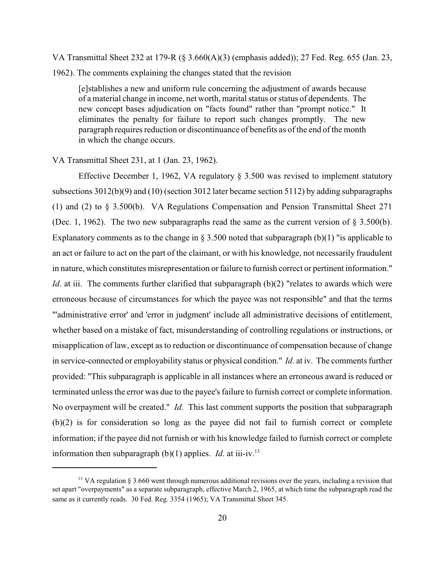VA Transmittal Sheet 232 at 179-R (§ 3.660(A)(3) (emphasis added)); 27 Fed. Reg. 655 (Jan. 23, 1962). The comments explaining the changes stated that the revision

[e]stablishes a new and uniform rule concerning the adjustment of awards because of a material change in income, net worth, marital status or status of dependents. The new concept bases adjudication on "facts found" rather than "prompt notice." It eliminates the penalty for failure to report such changes promptly. The new paragraph requires reduction or discontinuance of benefits as of the end of the month in which the change occurs.

VA Transmittal Sheet 231, at 1 (Jan. 23, 1962).

Effective December 1, 1962, VA regulatory § 3.500 was revised to implement statutory subsections 3012(b)(9) and (10) (section 3012 later became section 5112) by adding subparagraphs (1) and (2) to § 3.500(b). VA Regulations Compensation and Pension Transmittal Sheet 271 (Dec. 1, 1962). The two new subparagraphs read the same as the current version of  $\S 3.500(b)$ . Explanatory comments as to the change in § 3.500 noted that subparagraph  $(b)(1)$  "is applicable to an act or failure to act on the part of the claimant, or with his knowledge, not necessarily fraudulent in nature, which constitutes misrepresentation or failure to furnish correct or pertinent information." *Id*. at iii. The comments further clarified that subparagraph (b)(2) "relates to awards which were erroneous because of circumstances for which the payee was not responsible" and that the terms "'administrative error' and 'error in judgment' include all administrative decisions of entitlement, whether based on a mistake of fact, misunderstanding of controlling regulations or instructions, or misapplication of law, except as to reduction or discontinuance of compensation because of change in service-connected or employability status or physical condition." *Id*. at iv. The comments further provided: "This subparagraph is applicable in all instances where an erroneous award is reduced or terminated unless the error was due to the payee's failure to furnish correct or complete information. No overpayment will be created." *Id*. This last comment supports the position that subparagraph (b)(2) is for consideration so long as the payee did not fail to furnish correct or complete information; if the payee did not furnish or with his knowledge failed to furnish correct or complete information then subparagraph (b)(1) applies. *Id*. at iii-iv.<sup>13</sup>

<sup>&</sup>lt;sup>13</sup> VA regulation § 3.660 went through numerous additional revisions over the years, including a revision that set apart "overpayments" as a separate subparagraph, effective March 2, 1965, at which time the subparagraph read the same as it currently reads. 30 Fed. Reg. 3354 (1965); VA Transmittal Sheet 345.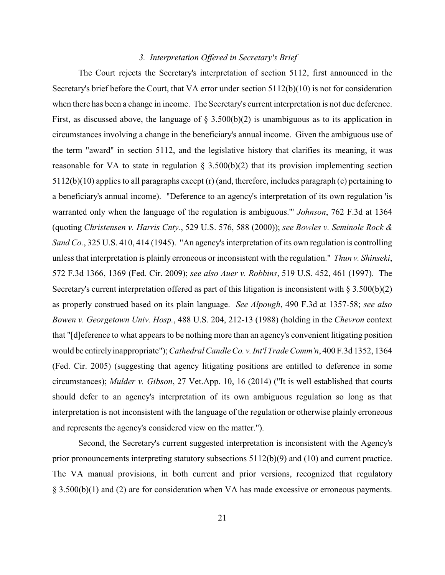### *3. Interpretation Offered in Secretary's Brief*

The Court rejects the Secretary's interpretation of section 5112, first announced in the Secretary's brief before the Court, that VA error under section  $5112(b)(10)$  is not for consideration when there has been a change in income. The Secretary's current interpretation is not due deference. First, as discussed above, the language of  $\S$  3.500(b)(2) is unambiguous as to its application in circumstances involving a change in the beneficiary's annual income. Given the ambiguous use of the term "award" in section 5112, and the legislative history that clarifies its meaning, it was reasonable for VA to state in regulation  $\S$  3.500(b)(2) that its provision implementing section 5112(b)(10) applies to all paragraphs except (r) (and, therefore, includes paragraph (c) pertaining to a beneficiary's annual income). "Deference to an agency's interpretation of its own regulation 'is warranted only when the language of the regulation is ambiguous.'" *Johnson*, 762 F.3d at 1364 (quoting *Christensen v. Harris Cnty.*, 529 U.S. 576, 588 (2000)); *see Bowles v. Seminole Rock & Sand Co.*, 325 U.S. 410, 414 (1945). "An agency's interpretation of its own regulation is controlling unless that interpretation is plainly erroneous or inconsistent with the regulation." *Thun v. Shinseki*, 572 F.3d 1366, 1369 (Fed. Cir. 2009); *see also Auer v. Robbins*, 519 U.S. 452, 461 (1997). The Secretary's current interpretation offered as part of this litigation is inconsistent with  $\S 3.500(b)(2)$ as properly construed based on its plain language. *See Alpough*, 490 F.3d at 1357-58; *see also Bowen v. Georgetown Univ. Hosp.*, 488 U.S. 204, 212-13 (1988) (holding in the *Chevron* context that "[d]eference to what appears to be nothing more than an agency's convenient litigating position would be entirelyinappropriate"); *Cathedral Candle Co. v.Int'l Trade Comm'n*, 400 F.3d 1352, 1364 (Fed. Cir. 2005) (suggesting that agency litigating positions are entitled to deference in some circumstances); *Mulder v. Gibson*, 27 Vet.App. 10, 16 (2014) ("It is well established that courts should defer to an agency's interpretation of its own ambiguous regulation so long as that interpretation is not inconsistent with the language of the regulation or otherwise plainly erroneous and represents the agency's considered view on the matter.").

Second, the Secretary's current suggested interpretation is inconsistent with the Agency's prior pronouncements interpreting statutory subsections 5112(b)(9) and (10) and current practice. The VA manual provisions, in both current and prior versions, recognized that regulatory § 3.500(b)(1) and (2) are for consideration when VA has made excessive or erroneous payments.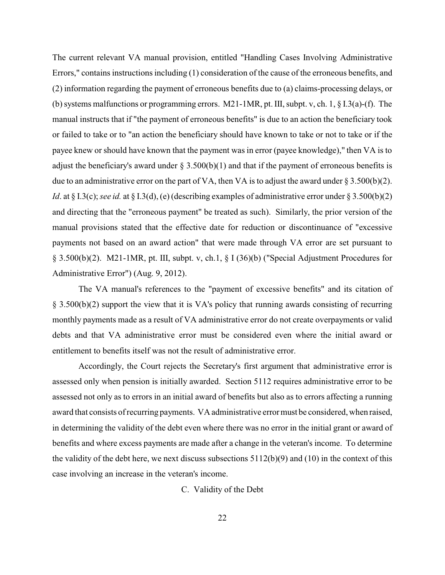The current relevant VA manual provision, entitled "Handling Cases Involving Administrative Errors," contains instructions including (1) consideration of the cause of the erroneous benefits, and (2) information regarding the payment of erroneous benefits due to (a) claims-processing delays, or (b) systems malfunctions or programming errors. M21-1MR, pt. III, subpt. v, ch. 1, § I.3(a)-(f). The manual instructs that if "the payment of erroneous benefits" is due to an action the beneficiary took or failed to take or to "an action the beneficiary should have known to take or not to take or if the payee knew or should have known that the payment was in error (payee knowledge)," then VA is to adjust the beneficiary's award under  $\S$  3.500(b)(1) and that if the payment of erroneous benefits is due to an administrative error on the part of VA, then VA is to adjust the award under  $\S 3.500(b)(2)$ . *Id*. at § I.3(c); *see id.* at § I.3(d), (e) (describing examples of administrative error under § 3.500(b)(2) and directing that the "erroneous payment" be treated as such). Similarly, the prior version of the manual provisions stated that the effective date for reduction or discontinuance of "excessive payments not based on an award action" that were made through VA error are set pursuant to § 3.500(b)(2). M21-1MR, pt. III, subpt. v, ch.1, § I (36)(b) ("Special Adjustment Procedures for Administrative Error") (Aug. 9, 2012).

The VA manual's references to the "payment of excessive benefits" and its citation of § 3.500(b)(2) support the view that it is VA's policy that running awards consisting of recurring monthly payments made as a result of VA administrative error do not create overpayments or valid debts and that VA administrative error must be considered even where the initial award or entitlement to benefits itself was not the result of administrative error.

Accordingly, the Court rejects the Secretary's first argument that administrative error is assessed only when pension is initially awarded. Section 5112 requires administrative error to be assessed not only as to errors in an initial award of benefits but also as to errors affecting a running award that consists of recurring payments. VA administrative errormust be considered, when raised, in determining the validity of the debt even where there was no error in the initial grant or award of benefits and where excess payments are made after a change in the veteran's income. To determine the validity of the debt here, we next discuss subsections  $5112(b)(9)$  and  $(10)$  in the context of this case involving an increase in the veteran's income.

C. Validity of the Debt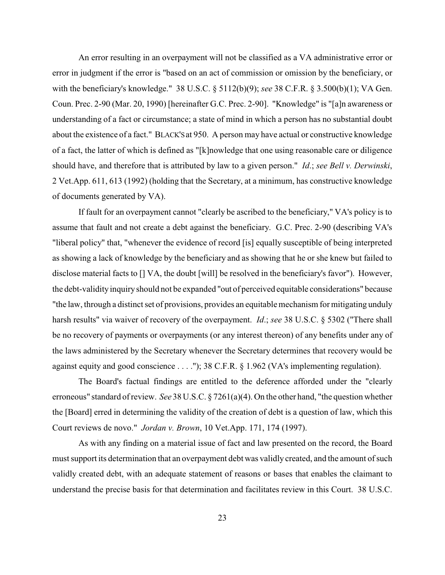An error resulting in an overpayment will not be classified as a VA administrative error or error in judgment if the error is "based on an act of commission or omission by the beneficiary, or with the beneficiary's knowledge." 38 U.S.C. § 5112(b)(9); *see* 38 C.F.R. § 3.500(b)(1); VA Gen. Coun. Prec. 2-90 (Mar. 20, 1990) [hereinafter G.C. Prec. 2-90]. "Knowledge" is "[a]n awareness or understanding of a fact or circumstance; a state of mind in which a person has no substantial doubt about the existence of a fact." BLACK'Sat 950. A person may have actual or constructive knowledge of a fact, the latter of which is defined as "[k]nowledge that one using reasonable care or diligence should have, and therefore that is attributed by law to a given person." *Id*.; *see Bell v. Derwinski*, 2 Vet.App. 611, 613 (1992) (holding that the Secretary, at a minimum, has constructive knowledge of documents generated by VA).

If fault for an overpayment cannot "clearly be ascribed to the beneficiary," VA's policy is to assume that fault and not create a debt against the beneficiary. G.C. Prec. 2-90 (describing VA's "liberal policy" that, "whenever the evidence of record [is] equally susceptible of being interpreted as showing a lack of knowledge by the beneficiary and as showing that he or she knew but failed to disclose material facts to [] VA, the doubt [will] be resolved in the beneficiary's favor"). However, the debt-validity inquiryshould not be expanded "out of perceived equitable considerations" because "the law, through a distinct set of provisions, provides an equitable mechanism for mitigating unduly harsh results" via waiver of recovery of the overpayment. *Id*.; *see* 38 U.S.C. § 5302 ("There shall be no recovery of payments or overpayments (or any interest thereon) of any benefits under any of the laws administered by the Secretary whenever the Secretary determines that recovery would be against equity and good conscience . . . ."); 38 C.F.R. § 1.962 (VA's implementing regulation).

The Board's factual findings are entitled to the deference afforded under the "clearly erroneous" standard of review. *See* 38 U.S.C. § 7261(a)(4). On the other hand, "the question whether the [Board] erred in determining the validity of the creation of debt is a question of law, which this Court reviews de novo." *Jordan v. Brown*, 10 Vet.App. 171, 174 (1997).

As with any finding on a material issue of fact and law presented on the record, the Board must support its determination that an overpayment debt was validly created, and the amount of such validly created debt, with an adequate statement of reasons or bases that enables the claimant to understand the precise basis for that determination and facilitates review in this Court. 38 U.S.C.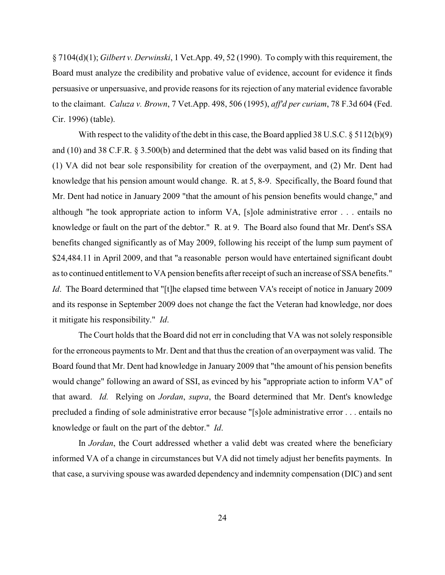§ 7104(d)(1); *Gilbert v. Derwinski*, 1 Vet.App. 49, 52 (1990). To comply with this requirement, the Board must analyze the credibility and probative value of evidence, account for evidence it finds persuasive or unpersuasive, and provide reasons for its rejection of any material evidence favorable to the claimant. *Caluza v. Brown*, 7 Vet.App. 498, 506 (1995), *aff'd per curiam*, 78 F.3d 604 (Fed. Cir. 1996) (table).

With respect to the validity of the debt in this case, the Board applied 38 U.S.C. § 5112(b)(9) and (10) and 38 C.F.R. § 3.500(b) and determined that the debt was valid based on its finding that (1) VA did not bear sole responsibility for creation of the overpayment, and (2) Mr. Dent had knowledge that his pension amount would change. R. at 5, 8-9. Specifically, the Board found that Mr. Dent had notice in January 2009 "that the amount of his pension benefits would change," and although "he took appropriate action to inform VA, [s]ole administrative error . . . entails no knowledge or fault on the part of the debtor." R. at 9. The Board also found that Mr. Dent's SSA benefits changed significantly as of May 2009, following his receipt of the lump sum payment of \$24,484.11 in April 2009, and that "a reasonable person would have entertained significant doubt as to continued entitlement to VA pension benefits after receipt of such an increase of SSA benefits." *Id*. The Board determined that "[t]he elapsed time between VA's receipt of notice in January 2009 and its response in September 2009 does not change the fact the Veteran had knowledge, nor does it mitigate his responsibility." *Id*.

The Court holds that the Board did not err in concluding that VA was not solely responsible for the erroneous payments to Mr. Dent and that thus the creation of an overpayment was valid. The Board found that Mr. Dent had knowledge in January 2009 that "the amount of his pension benefits would change" following an award of SSI, as evinced by his "appropriate action to inform VA" of that award. *Id.* Relying on *Jordan*, *supra*, the Board determined that Mr. Dent's knowledge precluded a finding of sole administrative error because "[s]ole administrative error . . . entails no knowledge or fault on the part of the debtor." *Id*.

In *Jordan*, the Court addressed whether a valid debt was created where the beneficiary informed VA of a change in circumstances but VA did not timely adjust her benefits payments. In that case, a surviving spouse was awarded dependency and indemnity compensation (DIC) and sent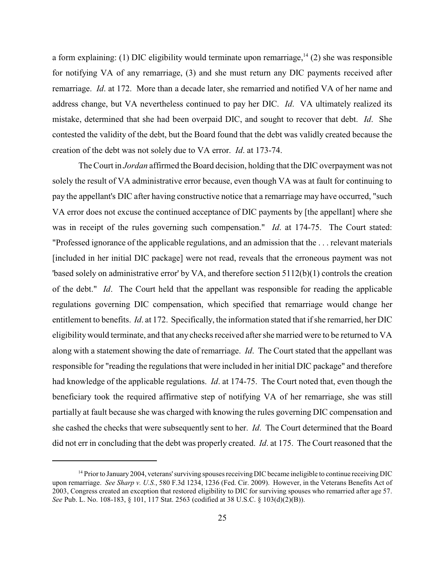a form explaining: (1) DIC eligibility would terminate upon remarriage,  $^{14}$  (2) she was responsible for notifying VA of any remarriage, (3) and she must return any DIC payments received after remarriage. *Id*. at 172. More than a decade later, she remarried and notified VA of her name and address change, but VA nevertheless continued to pay her DIC. *Id*. VA ultimately realized its mistake, determined that she had been overpaid DIC, and sought to recover that debt. *Id*. She contested the validity of the debt, but the Board found that the debt was validly created because the creation of the debt was not solely due to VA error. *Id*. at 173-74.

The Court in *Jordan* affirmed the Board decision, holding that the DIC overpayment was not solely the result of VA administrative error because, even though VA was at fault for continuing to pay the appellant's DIC after having constructive notice that a remarriage may have occurred, "such VA error does not excuse the continued acceptance of DIC payments by [the appellant] where she was in receipt of the rules governing such compensation." *Id*. at 174-75. The Court stated: "Professed ignorance of the applicable regulations, and an admission that the . . . relevant materials [included in her initial DIC package] were not read, reveals that the erroneous payment was not 'based solely on administrative error' by VA, and therefore section  $5112(b)(1)$  controls the creation of the debt." *Id*. The Court held that the appellant was responsible for reading the applicable regulations governing DIC compensation, which specified that remarriage would change her entitlement to benefits. *Id*. at 172. Specifically, the information stated that if she remarried, her DIC eligibilitywould terminate, and that any checks received after she married were to be returned to VA along with a statement showing the date of remarriage. *Id*. The Court stated that the appellant was responsible for "reading the regulations that were included in her initial DIC package" and therefore had knowledge of the applicable regulations. *Id*. at 174-75. The Court noted that, even though the beneficiary took the required affirmative step of notifying VA of her remarriage, she was still partially at fault because she was charged with knowing the rules governing DIC compensation and she cashed the checks that were subsequently sent to her. *Id*. The Court determined that the Board did not err in concluding that the debt was properly created. *Id*. at 175. The Court reasoned that the

 $14$  Prior to January 2004, veterans' surviving spouses receiving DIC became ineligible to continue receiving DIC upon remarriage. *See Sharp v. U.S.*, 580 F.3d 1234, 1236 (Fed. Cir. 2009). However, in the Veterans Benefits Act of 2003, Congress created an exception that restored eligibility to DIC for surviving spouses who remarried after age 57. *See* Pub. L. No. 108-183, § 101, 117 Stat. 2563 (codified at 38 U.S.C. § 103(d)(2)(B)).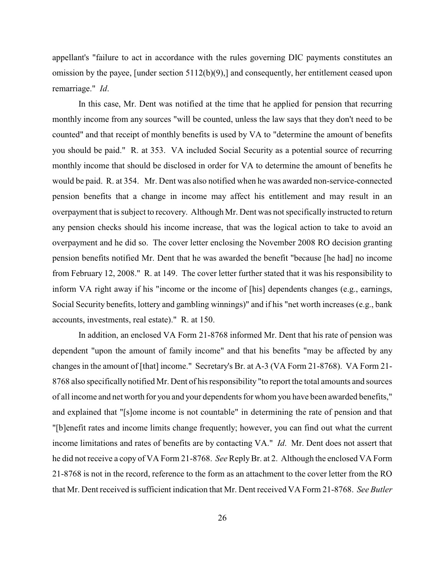appellant's "failure to act in accordance with the rules governing DIC payments constitutes an omission by the payee, [under section 5112(b)(9),] and consequently, her entitlement ceased upon remarriage." *Id*.

In this case, Mr. Dent was notified at the time that he applied for pension that recurring monthly income from any sources "will be counted, unless the law says that they don't need to be counted" and that receipt of monthly benefits is used by VA to "determine the amount of benefits you should be paid." R. at 353. VA included Social Security as a potential source of recurring monthly income that should be disclosed in order for VA to determine the amount of benefits he would be paid. R. at 354. Mr. Dent was also notified when he was awarded non-service-connected pension benefits that a change in income may affect his entitlement and may result in an overpayment that is subject to recovery. Although Mr. Dent was not specifically instructed to return any pension checks should his income increase, that was the logical action to take to avoid an overpayment and he did so. The cover letter enclosing the November 2008 RO decision granting pension benefits notified Mr. Dent that he was awarded the benefit "because [he had] no income from February 12, 2008." R. at 149. The cover letter further stated that it was his responsibility to inform VA right away if his "income or the income of [his] dependents changes (e.g., earnings, Social Security benefits, lottery and gambling winnings)" and if his "net worth increases (e.g., bank accounts, investments, real estate)." R. at 150.

In addition, an enclosed VA Form 21-8768 informed Mr. Dent that his rate of pension was dependent "upon the amount of family income" and that his benefits "may be affected by any changes in the amount of [that] income." Secretary's Br. at A-3 (VA Form 21-8768). VA Form 21- 8768 also specifically notified Mr. Dent of his responsibility "to report the total amounts and sources of all income and net worth for you and your dependents for whom you have been awarded benefits," and explained that "[s]ome income is not countable" in determining the rate of pension and that "[b]enefit rates and income limits change frequently; however, you can find out what the current income limitations and rates of benefits are by contacting VA." *Id*. Mr. Dent does not assert that he did not receive a copy of VA Form 21-8768. *See* ReplyBr. at 2. Although the enclosed VA Form 21-8768 is not in the record, reference to the form as an attachment to the cover letter from the RO that Mr. Dent received is sufficient indication that Mr. Dent received VA Form 21-8768. *See Butler*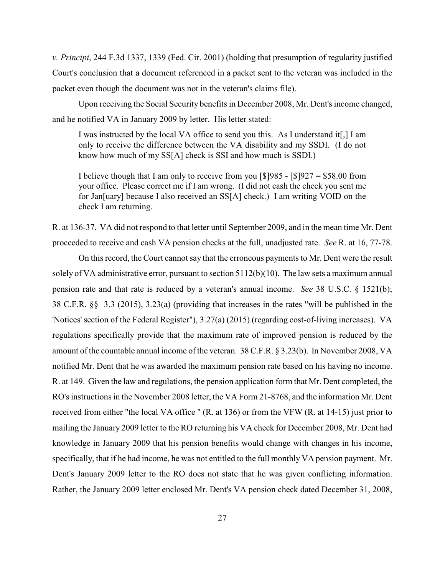*v. Principi*, 244 F.3d 1337, 1339 (Fed. Cir. 2001) (holding that presumption of regularity justified Court's conclusion that a document referenced in a packet sent to the veteran was included in the packet even though the document was not in the veteran's claims file).

Upon receiving the Social Security benefits in December 2008, Mr. Dent's income changed, and he notified VA in January 2009 by letter. His letter stated:

I was instructed by the local VA office to send you this. As I understand it[,] I am only to receive the difference between the VA disability and my SSDI. (I do not know how much of my SS[A] check is SSI and how much is SSDI.)

I believe though that I am only to receive from you  $\lceil $985 - $927 = $58.00$  from your office. Please correct me if I am wrong. (I did not cash the check you sent me for Jan[uary] because I also received an SS[A] check.) I am writing VOID on the check I am returning.

R. at 136-37. VA did not respond to that letter until September 2009, and in the mean time Mr. Dent proceeded to receive and cash VA pension checks at the full, unadjusted rate. *See* R. at 16, 77-78.

On this record, the Court cannot say that the erroneous payments to Mr. Dent were the result solely of VA administrative error, pursuant to section  $5112(b)(10)$ . The law sets a maximum annual pension rate and that rate is reduced by a veteran's annual income. *See* 38 U.S.C. § 1521(b); 38 C.F.R. §§ 3.3 (2015), 3.23(a) (providing that increases in the rates "will be published in the 'Notices' section of the Federal Register"), 3.27(a) (2015) (regarding cost-of-living increases). VA regulations specifically provide that the maximum rate of improved pension is reduced by the amount of the countable annual income of the veteran. 38 C.F.R. § 3.23(b). In November 2008, VA notified Mr. Dent that he was awarded the maximum pension rate based on his having no income. R. at 149. Given the law and regulations, the pension application form that Mr. Dent completed, the RO's instructions in the November 2008 letter, the VA Form 21-8768, and the information Mr. Dent received from either "the local VA office " (R. at 136) or from the VFW (R. at 14-15) just prior to mailing the January 2009 letter to the RO returning his VA check for December 2008, Mr. Dent had knowledge in January 2009 that his pension benefits would change with changes in his income, specifically, that if he had income, he was not entitled to the full monthly VA pension payment. Mr. Dent's January 2009 letter to the RO does not state that he was given conflicting information. Rather, the January 2009 letter enclosed Mr. Dent's VA pension check dated December 31, 2008,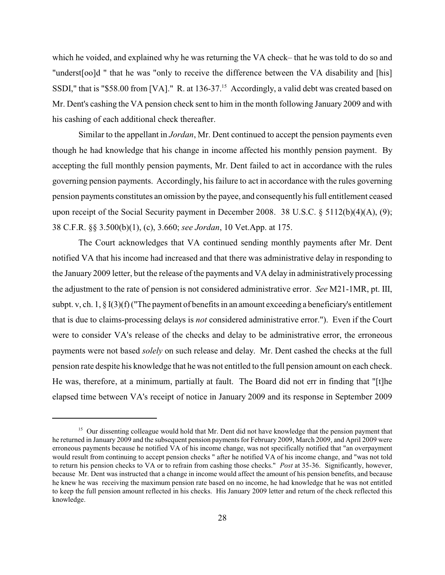which he voided, and explained why he was returning the VA check– that he was told to do so and "underst[oo]d " that he was "only to receive the difference between the VA disability and [his] SSDI," that is "\$58.00 from [VA]." R. at 136-37.<sup>15</sup> Accordingly, a valid debt was created based on Mr. Dent's cashing the VA pension check sent to him in the month following January 2009 and with his cashing of each additional check thereafter.

Similar to the appellant in *Jordan*, Mr. Dent continued to accept the pension payments even though he had knowledge that his change in income affected his monthly pension payment. By accepting the full monthly pension payments, Mr. Dent failed to act in accordance with the rules governing pension payments. Accordingly, his failure to act in accordance with the rules governing pension payments constitutes an omission by the payee, and consequently his full entitlement ceased upon receipt of the Social Security payment in December 2008. 38 U.S.C. § 5112(b)(4)(A), (9); 38 C.F.R. §§ 3.500(b)(1), (c), 3.660; *see Jordan*, 10 Vet.App. at 175.

The Court acknowledges that VA continued sending monthly payments after Mr. Dent notified VA that his income had increased and that there was administrative delay in responding to the January 2009 letter, but the release of the payments and VA delay in administratively processing the adjustment to the rate of pension is not considered administrative error. *See* M21-1MR, pt. III, subpt. v, ch. 1, § I(3)(f) ("The payment of benefits in an amount exceeding a beneficiary's entitlement that is due to claims-processing delays is *not* considered administrative error."). Even if the Court were to consider VA's release of the checks and delay to be administrative error, the erroneous payments were not based *solely* on such release and delay. Mr. Dent cashed the checks at the full pension rate despite his knowledge that he was not entitled to the full pension amount on each check. He was, therefore, at a minimum, partially at fault. The Board did not err in finding that "[t]he elapsed time between VA's receipt of notice in January 2009 and its response in September 2009

<sup>&</sup>lt;sup>15</sup> Our dissenting colleague would hold that Mr. Dent did not have knowledge that the pension payment that he returned in January 2009 and the subsequent pension payments for February 2009, March 2009, and April 2009 were erroneous payments because he notified VA of his income change, was not specifically notified that "an overpayment would result from continuing to accept pension checks " after he notified VA of his income change, and "was not told to return his pension checks to VA or to refrain from cashing those checks." *Post* at 35-36. Significantly, however, because Mr. Dent was instructed that a change in income would affect the amount of his pension benefits, and because he knew he was receiving the maximum pension rate based on no income, he had knowledge that he was not entitled to keep the full pension amount reflected in his checks. His January 2009 letter and return of the check reflected this knowledge.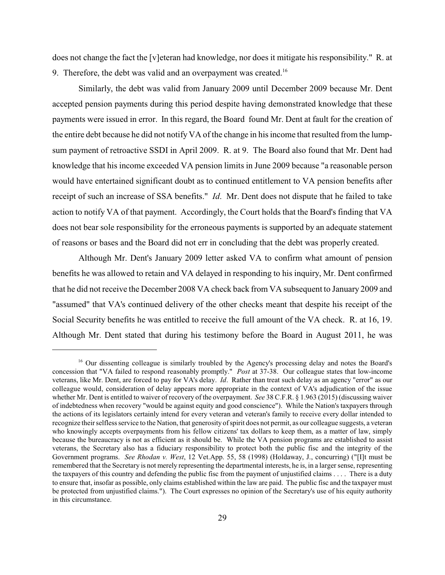does not change the fact the [v]eteran had knowledge, nor does it mitigate his responsibility." R. at 9. Therefore, the debt was valid and an overpayment was created.<sup>16</sup>

Similarly, the debt was valid from January 2009 until December 2009 because Mr. Dent accepted pension payments during this period despite having demonstrated knowledge that these payments were issued in error. In this regard, the Board found Mr. Dent at fault for the creation of the entire debt because he did not notify VA of the change in his income that resulted from the lumpsum payment of retroactive SSDI in April 2009. R. at 9. The Board also found that Mr. Dent had knowledge that his income exceeded VA pension limits in June 2009 because "a reasonable person would have entertained significant doubt as to continued entitlement to VA pension benefits after receipt of such an increase of SSA benefits." *Id*. Mr. Dent does not dispute that he failed to take action to notify VA of that payment. Accordingly, the Court holds that the Board's finding that VA does not bear sole responsibility for the erroneous payments is supported by an adequate statement of reasons or bases and the Board did not err in concluding that the debt was properly created.

Although Mr. Dent's January 2009 letter asked VA to confirm what amount of pension benefits he was allowed to retain and VA delayed in responding to his inquiry, Mr. Dent confirmed that he did not receive the December 2008 VA check back from VA subsequent to January 2009 and "assumed" that VA's continued delivery of the other checks meant that despite his receipt of the Social Security benefits he was entitled to receive the full amount of the VA check. R. at 16, 19. Although Mr. Dent stated that during his testimony before the Board in August 2011, he was

<sup>&</sup>lt;sup>16</sup> Our dissenting colleague is similarly troubled by the Agency's processing delay and notes the Board's concession that "VA failed to respond reasonably promptly." *Post* at 37-38. Our colleague states that low-income veterans, like Mr. Dent, are forced to pay for VA's delay. *Id*. Rather than treat such delay as an agency "error" as our colleague would, consideration of delay appears more appropriate in the context of VA's adjudication of the issue whether Mr. Dent is entitled to waiver of recovery of the overpayment. *See* 38 C.F.R. § 1.963 (2015) (discussing waiver of indebtedness when recovery "would be against equity and good conscience"). While the Nation's taxpayers through the actions of its legislators certainly intend for every veteran and veteran's family to receive every dollar intended to recognize their selfless service to the Nation, that generosity of spirit does not permit, as our colleague suggests, a veteran who knowingly accepts overpayments from his fellow citizens' tax dollars to keep them, as a matter of law, simply because the bureaucracy is not as efficient as it should be. While the VA pension programs are established to assist veterans, the Secretary also has a fiduciary responsibility to protect both the public fisc and the integrity of the Government programs. *See Rhodan v. West*, 12 Vet.App. 55, 58 (1998) (Holdaway, J., concurring) ("[I]t must be remembered that the Secretary is not merely representing the departmental interests, he is, in a larger sense, representing the taxpayers of this country and defending the public fisc from the payment of unjustified claims . . . . There is a duty to ensure that, insofar as possible, only claims established within the law are paid. The public fisc and the taxpayer must be protected from unjustified claims."). The Court expresses no opinion of the Secretary's use of his equity authority in this circumstance.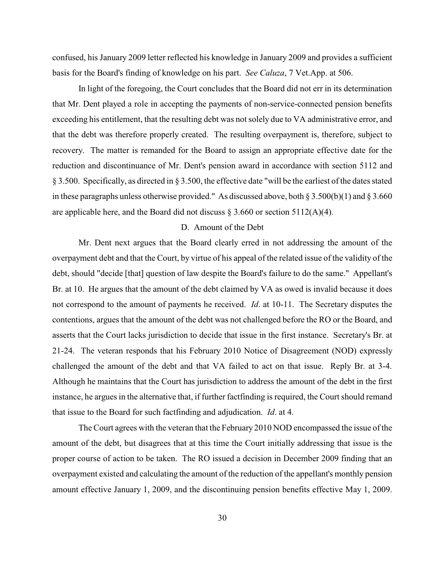confused, his January 2009 letter reflected his knowledge in January 2009 and provides a sufficient basis for the Board's finding of knowledge on his part. *See Caluza*, 7 Vet.App. at 506.

In light of the foregoing, the Court concludes that the Board did not err in its determination that Mr. Dent played a role in accepting the payments of non-service-connected pension benefits exceeding his entitlement, that the resulting debt was not solely due to VA administrative error, and that the debt was therefore properly created. The resulting overpayment is, therefore, subject to recovery. The matter is remanded for the Board to assign an appropriate effective date for the reduction and discontinuance of Mr. Dent's pension award in accordance with section 5112 and § 3.500. Specifically, as directed in § 3.500, the effective date "will be the earliest of the dates stated in these paragraphs unless otherwise provided." As discussed above, both  $\S 3.500(b)(1)$  and  $\S 3.660$ are applicable here, and the Board did not discuss  $\S 3.660$  or section 5112(A)(4).

### D. Amount of the Debt

Mr. Dent next argues that the Board clearly erred in not addressing the amount of the overpayment debt and that the Court, by virtue of his appeal of the related issue of the validity of the debt, should "decide [that] question of law despite the Board's failure to do the same." Appellant's Br. at 10. He argues that the amount of the debt claimed by VA as owed is invalid because it does not correspond to the amount of payments he received. *Id*. at 10-11. The Secretary disputes the contentions, argues that the amount of the debt was not challenged before the RO or the Board, and asserts that the Court lacks jurisdiction to decide that issue in the first instance. Secretary's Br. at 21-24. The veteran responds that his February 2010 Notice of Disagreement (NOD) expressly challenged the amount of the debt and that VA failed to act on that issue. Reply Br. at 3-4. Although he maintains that the Court has jurisdiction to address the amount of the debt in the first instance, he argues in the alternative that, if further factfinding is required, the Court should remand that issue to the Board for such factfinding and adjudication. *Id*. at 4.

The Court agrees with the veteran that the February 2010 NOD encompassed the issue of the amount of the debt, but disagrees that at this time the Court initially addressing that issue is the proper course of action to be taken. The RO issued a decision in December 2009 finding that an overpayment existed and calculating the amount of the reduction of the appellant's monthly pension amount effective January 1, 2009, and the discontinuing pension benefits effective May 1, 2009.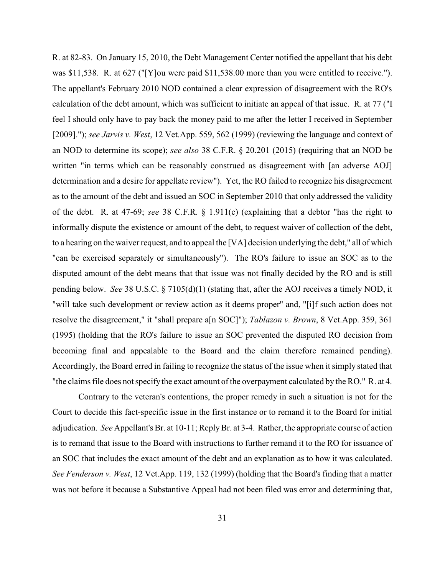R. at 82-83. On January 15, 2010, the Debt Management Center notified the appellant that his debt was \$11,538. R. at 627 ("[Y]ou were paid \$11,538.00 more than you were entitled to receive."). The appellant's February 2010 NOD contained a clear expression of disagreement with the RO's calculation of the debt amount, which was sufficient to initiate an appeal of that issue. R. at 77 ("I feel I should only have to pay back the money paid to me after the letter I received in September [2009]."); *see Jarvis v. West*, 12 Vet.App. 559, 562 (1999) (reviewing the language and context of an NOD to determine its scope); *see also* 38 C.F.R. § 20.201 (2015) (requiring that an NOD be written "in terms which can be reasonably construed as disagreement with [an adverse AOJ] determination and a desire for appellate review"). Yet, the RO failed to recognize his disagreement as to the amount of the debt and issued an SOC in September 2010 that only addressed the validity of the debt. R. at 47-69; *see* 38 C.F.R. § 1.911(c) (explaining that a debtor "has the right to informally dispute the existence or amount of the debt, to request waiver of collection of the debt, to a hearing on the waiver request, and to appeal the [VA] decision underlying the debt," all of which "can be exercised separately or simultaneously"). The RO's failure to issue an SOC as to the disputed amount of the debt means that that issue was not finally decided by the RO and is still pending below. *See* 38 U.S.C. § 7105(d)(1) (stating that, after the AOJ receives a timely NOD, it "will take such development or review action as it deems proper" and, "[i]f such action does not resolve the disagreement," it "shall prepare a[n SOC]"); *Tablazon v. Brown*, 8 Vet.App. 359, 361 (1995) (holding that the RO's failure to issue an SOC prevented the disputed RO decision from becoming final and appealable to the Board and the claim therefore remained pending). Accordingly, the Board erred in failing to recognize the status of the issue when it simply stated that "the claims file does not specify the exact amount of the overpayment calculated by the RO." R. at 4.

Contrary to the veteran's contentions, the proper remedy in such a situation is not for the Court to decide this fact-specific issue in the first instance or to remand it to the Board for initial adjudication. *See* Appellant's Br. at 10-11; ReplyBr. at 3-4. Rather, the appropriate course of action is to remand that issue to the Board with instructions to further remand it to the RO for issuance of an SOC that includes the exact amount of the debt and an explanation as to how it was calculated. *See Fenderson v. West*, 12 Vet.App. 119, 132 (1999) (holding that the Board's finding that a matter was not before it because a Substantive Appeal had not been filed was error and determining that,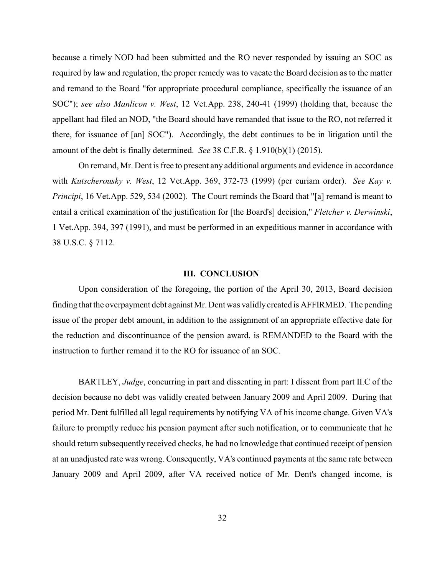because a timely NOD had been submitted and the RO never responded by issuing an SOC as required by law and regulation, the proper remedy was to vacate the Board decision as to the matter and remand to the Board "for appropriate procedural compliance, specifically the issuance of an SOC"); *see also Manlicon v. West*, 12 Vet.App. 238, 240-41 (1999) (holding that, because the appellant had filed an NOD, "the Board should have remanded that issue to the RO, not referred it there, for issuance of [an] SOC"). Accordingly, the debt continues to be in litigation until the amount of the debt is finally determined. *See* 38 C.F.R. § 1.910(b)(1) (2015).

On remand, Mr. Dent is free to present any additional arguments and evidence in accordance with *Kutscherousky v. West*, 12 Vet.App. 369, 372-73 (1999) (per curiam order). *See Kay v. Principi*, 16 Vet.App. 529, 534 (2002). The Court reminds the Board that "[a] remand is meant to entail a critical examination of the justification for [the Board's] decision," *Fletcher v. Derwinski*, 1 Vet.App. 394, 397 (1991), and must be performed in an expeditious manner in accordance with 38 U.S.C. § 7112.

#### **III. CONCLUSION**

Upon consideration of the foregoing, the portion of the April 30, 2013, Board decision finding that the overpayment debt against Mr. Dent was validly created is AFFIRMED. The pending issue of the proper debt amount, in addition to the assignment of an appropriate effective date for the reduction and discontinuance of the pension award, is REMANDED to the Board with the instruction to further remand it to the RO for issuance of an SOC.

BARTLEY, *Judge*, concurring in part and dissenting in part: I dissent from part II.C of the decision because no debt was validly created between January 2009 and April 2009. During that period Mr. Dent fulfilled all legal requirements by notifying VA of his income change. Given VA's failure to promptly reduce his pension payment after such notification, or to communicate that he should return subsequently received checks, he had no knowledge that continued receipt of pension at an unadjusted rate was wrong. Consequently, VA's continued payments at the same rate between January 2009 and April 2009, after VA received notice of Mr. Dent's changed income, is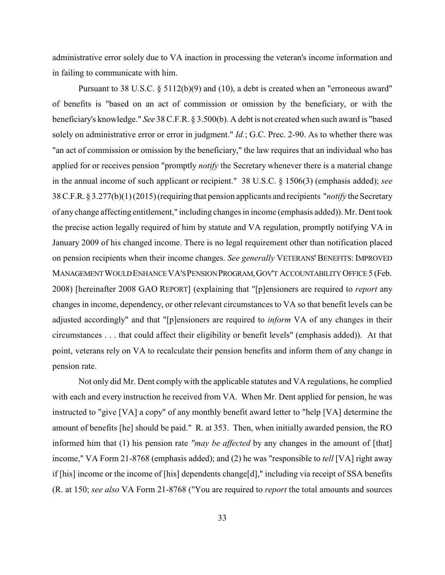administrative error solely due to VA inaction in processing the veteran's income information and in failing to communicate with him.

Pursuant to 38 U.S.C. § 5112(b)(9) and (10), a debt is created when an "erroneous award" of benefits is "based on an act of commission or omission by the beneficiary, or with the beneficiary's knowledge." *See* 38 C.F.R. § 3.500(b). A debt is not created when such award is "based solely on administrative error or error in judgment." *Id.*; G.C. Prec. 2-90. As to whether there was "an act of commission or omission by the beneficiary," the law requires that an individual who has applied for or receives pension "promptly *notify* the Secretary whenever there is a material change in the annual income of such applicant or recipient." 38 U.S.C. § 1506(3) (emphasis added); *see* 38 C.F.R. § 3.277(b)(1) (2015) (requiring that pension applicants and recipients "*notify* the Secretary of any change affecting entitlement," including changes in income (emphasis added)). Mr. Dent took the precise action legally required of him by statute and VA regulation, promptly notifying VA in January 2009 of his changed income. There is no legal requirement other than notification placed on pension recipients when their income changes. *See generally* VETERANS' BENEFITS: IMPROVED MANAGEMENTWOULDENHANCEVA'SPENSIONPROGRAM,GOV'T ACCOUNTABILITY OFFICE 5 (Feb. 2008) [hereinafter 2008 GAO REPORT] (explaining that "[p]ensioners are required to *report* any changes in income, dependency, or other relevant circumstances to VA so that benefit levels can be adjusted accordingly" and that "[p]ensioners are required to *inform* VA of any changes in their circumstances . . . that could affect their eligibility or benefit levels" (emphasis added)). At that point, veterans rely on VA to recalculate their pension benefits and inform them of any change in pension rate.

Not only did Mr. Dent comply with the applicable statutes and VA regulations, he complied with each and every instruction he received from VA. When Mr. Dent applied for pension, he was instructed to "give [VA] a copy" of any monthly benefit award letter to "help [VA] determine the amount of benefits [he] should be paid." R. at 353. Then, when initially awarded pension, the RO informed him that (1) his pension rate *"may be affected* by any changes in the amount of [that] income," VA Form 21-8768 (emphasis added); and (2) he was "responsible to *tell* [VA] right away if [his] income or the income of [his] dependents change[d]," including via receipt of SSA benefits (R. at 150; *see also* VA Form 21-8768 ("You are required to *report* the total amounts and sources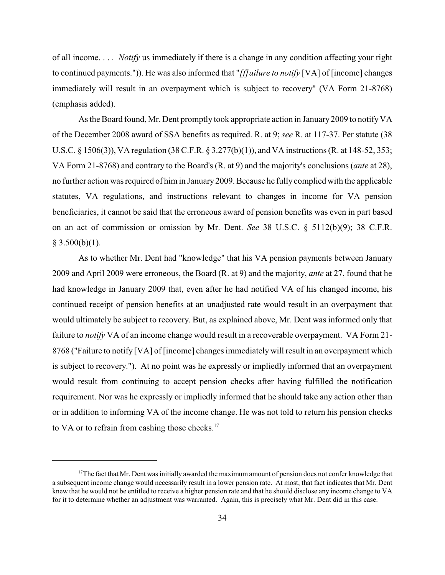of all income. . . . *Notify* us immediately if there is a change in any condition affecting your right to continued payments.")). He was also informed that "*[f]ailure to notify* [VA] of [income] changes immediately will result in an overpayment which is subject to recovery" (VA Form 21-8768) (emphasis added).

As the Board found, Mr. Dent promptly took appropriate action in January 2009 to notifyVA of the December 2008 award of SSA benefits as required. R. at 9; *see* R. at 117-37. Per statute (38 U.S.C. § 1506(3)), VA regulation (38 C.F.R. § 3.277(b)(1)), and VA instructions (R. at 148-52, 353; VA Form 21-8768) and contrary to the Board's (R. at 9) and the majority's conclusions (*ante* at 28), no further action was required of him in January 2009. Because he fully complied with the applicable statutes, VA regulations, and instructions relevant to changes in income for VA pension beneficiaries, it cannot be said that the erroneous award of pension benefits was even in part based on an act of commission or omission by Mr. Dent. *See* 38 U.S.C. § 5112(b)(9); 38 C.F.R.  $§$  3.500(b)(1).

As to whether Mr. Dent had "knowledge" that his VA pension payments between January 2009 and April 2009 were erroneous, the Board (R. at 9) and the majority, *ante* at 27, found that he had knowledge in January 2009 that, even after he had notified VA of his changed income, his continued receipt of pension benefits at an unadjusted rate would result in an overpayment that would ultimately be subject to recovery. But, as explained above, Mr. Dent was informed only that failure to *notify* VA of an income change would result in a recoverable overpayment. VA Form 21- 8768 ("Failure to notify [VA] of [income] changes immediately will result in an overpayment which is subject to recovery."). At no point was he expressly or impliedly informed that an overpayment would result from continuing to accept pension checks after having fulfilled the notification requirement. Nor was he expressly or impliedly informed that he should take any action other than or in addition to informing VA of the income change. He was not told to return his pension checks to VA or to refrain from cashing those checks.<sup>17</sup>

 $17$ The fact that Mr. Dent was initially awarded the maximum amount of pension does not confer knowledge that a subsequent income change would necessarily result in a lower pension rate. At most, that fact indicates that Mr. Dent knew that he would not be entitled to receive a higher pension rate and that he should disclose any income change to VA for it to determine whether an adjustment was warranted. Again, this is precisely what Mr. Dent did in this case.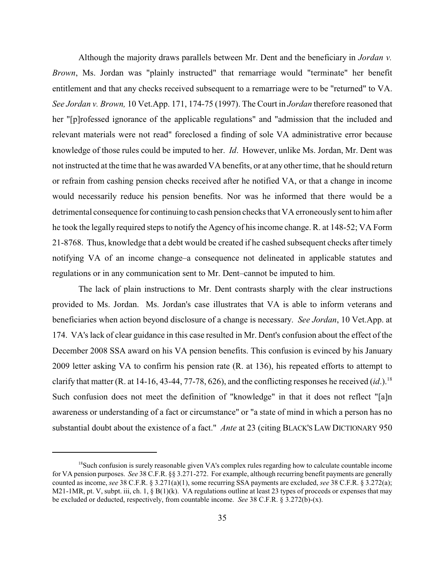Although the majority draws parallels between Mr. Dent and the beneficiary in *Jordan v. Brown*, Ms. Jordan was "plainly instructed" that remarriage would "terminate" her benefit entitlement and that any checks received subsequent to a remarriage were to be "returned" to VA. *See Jordan v. Brown,* 10 Vet.App. 171, 174-75 (1997). The Court in *Jordan* therefore reasoned that her "[p]rofessed ignorance of the applicable regulations" and "admission that the included and relevant materials were not read" foreclosed a finding of sole VA administrative error because knowledge of those rules could be imputed to her. *Id*. However, unlike Ms. Jordan, Mr. Dent was not instructed at the time that he was awarded VA benefits, or at any other time, that he should return or refrain from cashing pension checks received after he notified VA, or that a change in income would necessarily reduce his pension benefits. Nor was he informed that there would be a detrimental consequence for continuing to cash pension checks that VA erroneouslysent to him after he took the legally required steps to notify the Agency of his income change. R. at 148-52; VA Form 21-8768. Thus, knowledge that a debt would be created if he cashed subsequent checks after timely notifying VA of an income change–a consequence not delineated in applicable statutes and regulations or in any communication sent to Mr. Dent–cannot be imputed to him.

The lack of plain instructions to Mr. Dent contrasts sharply with the clear instructions provided to Ms. Jordan. Ms. Jordan's case illustrates that VA is able to inform veterans and beneficiaries when action beyond disclosure of a change is necessary. *See Jordan*, 10 Vet.App. at 174. VA's lack of clear guidance in this case resulted in Mr. Dent's confusion about the effect of the December 2008 SSA award on his VA pension benefits. This confusion is evinced by his January 2009 letter asking VA to confirm his pension rate (R. at 136), his repeated efforts to attempt to clarify that matter (R. at 14-16, 43-44, 77-78, 626), and the conflicting responses he received  $(id.)$ .<sup>18</sup> Such confusion does not meet the definition of "knowledge" in that it does not reflect "[a]n awareness or understanding of a fact or circumstance" or "a state of mind in which a person has no substantial doubt about the existence of a fact." *Ante* at 23 (citing BLACK'S LAW DICTIONARY 950

<sup>&</sup>lt;sup>18</sup>Such confusion is surely reasonable given VA's complex rules regarding how to calculate countable income for VA pension purposes. *See* 38 C.F.R. §§ 3.271-272. For example, although recurring benefit payments are generally counted as income, *see* 38 C.F.R. § 3.271(a)(1), some recurring SSA payments are excluded, *see* 38 C.F.R. § 3.272(a); M21-1MR, pt. V, subpt. iii, ch. 1, § B(1)(k). VA regulations outline at least 23 types of proceeds or expenses that may be excluded or deducted, respectively, from countable income. *See* 38 C.F.R. § 3.272(b)-(x).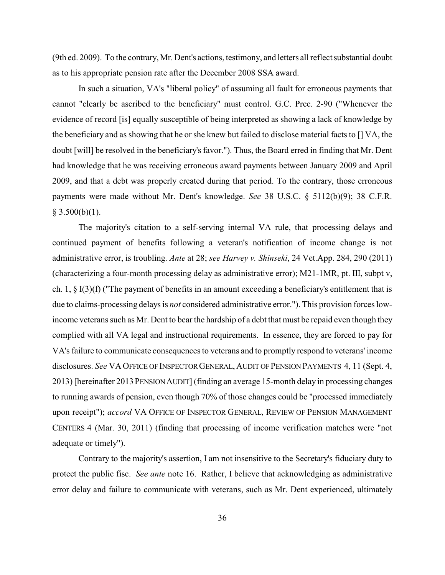(9th ed. 2009). To the contrary, Mr. Dent's actions, testimony, and letters all reflect substantial doubt as to his appropriate pension rate after the December 2008 SSA award.

In such a situation, VA's "liberal policy" of assuming all fault for erroneous payments that cannot "clearly be ascribed to the beneficiary" must control. G.C. Prec. 2-90 ("Whenever the evidence of record [is] equally susceptible of being interpreted as showing a lack of knowledge by the beneficiary and as showing that he or she knew but failed to disclose material facts to [] VA, the doubt [will] be resolved in the beneficiary's favor."). Thus, the Board erred in finding that Mr. Dent had knowledge that he was receiving erroneous award payments between January 2009 and April 2009, and that a debt was properly created during that period. To the contrary, those erroneous payments were made without Mr. Dent's knowledge. *See* 38 U.S.C. § 5112(b)(9); 38 C.F.R.  $§ 3.500(b)(1).$ 

The majority's citation to a self-serving internal VA rule, that processing delays and continued payment of benefits following a veteran's notification of income change is not administrative error, is troubling. *Ante* at 28; *see Harvey v. Shinseki*, 24 Vet.App. 284, 290 (2011) (characterizing a four-month processing delay as administrative error); M21-1MR, pt. III, subpt v, ch. 1,  $\S$  I(3)(f) ("The payment of benefits in an amount exceeding a beneficiary's entitlement that is due to claims-processing delays is *not* considered administrative error."). This provision forces lowincome veterans such as Mr. Dent to bear the hardship of a debt that must be repaid even though they complied with all VA legal and instructional requirements. In essence, they are forced to pay for VA's failure to communicate consequences to veterans and to promptly respond to veterans' income disclosures. *See* VA OFFICE OF INSPECTOR GENERAL, AUDIT OF PENSION PAYMENTS 4, 11 (Sept. 4, 2013) [hereinafter 2013PENSIONAUDIT] (finding an average 15-month delay in processing changes to running awards of pension, even though 70% of those changes could be "processed immediately upon receipt"); *accord* VA OFFICE OF INSPECTOR GENERAL, REVIEW OF PENSION MANAGEMENT CENTERS 4 (Mar. 30, 2011) (finding that processing of income verification matches were "not adequate or timely").

Contrary to the majority's assertion, I am not insensitive to the Secretary's fiduciary duty to protect the public fisc. *See ante* note 16. Rather, I believe that acknowledging as administrative error delay and failure to communicate with veterans, such as Mr. Dent experienced, ultimately